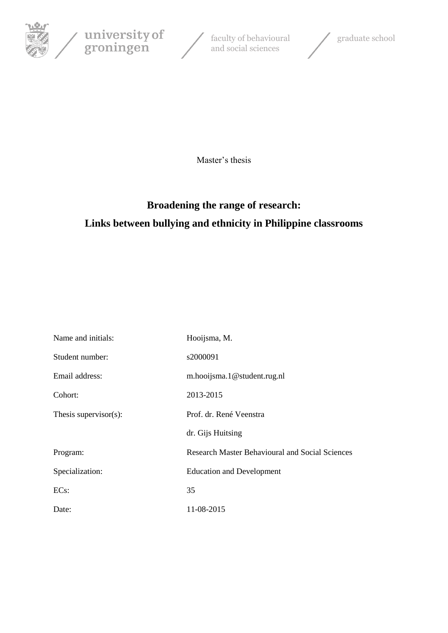





Master's thesis

# **Broadening the range of research: Links between bullying and ethnicity in Philippine classrooms**

| Name and initials:        | Hooijsma, M.                                           |
|---------------------------|--------------------------------------------------------|
| Student number:           | s2000091                                               |
| Email address:            | m.hooijsma.1@student.rug.nl                            |
| Cohort:                   | 2013-2015                                              |
| Thesis supervisor $(s)$ : | Prof. dr. René Veenstra                                |
|                           | dr. Gijs Huitsing                                      |
| Program:                  | <b>Research Master Behavioural and Social Sciences</b> |
| Specialization:           | <b>Education and Development</b>                       |
| $ECs$ :                   | 35                                                     |
| Date:                     | 11-08-2015                                             |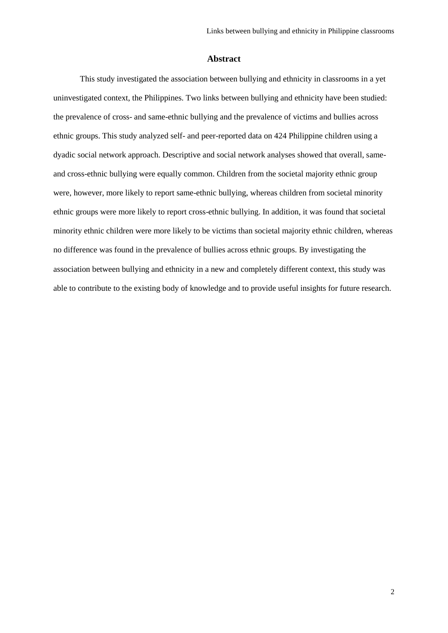# **Abstract**

This study investigated the association between bullying and ethnicity in classrooms in a yet uninvestigated context, the Philippines. Two links between bullying and ethnicity have been studied: the prevalence of cross- and same-ethnic bullying and the prevalence of victims and bullies across ethnic groups. This study analyzed self- and peer-reported data on 424 Philippine children using a dyadic social network approach. Descriptive and social network analyses showed that overall, sameand cross-ethnic bullying were equally common. Children from the societal majority ethnic group were, however, more likely to report same-ethnic bullying, whereas children from societal minority ethnic groups were more likely to report cross-ethnic bullying. In addition, it was found that societal minority ethnic children were more likely to be victims than societal majority ethnic children, whereas no difference was found in the prevalence of bullies across ethnic groups. By investigating the association between bullying and ethnicity in a new and completely different context, this study was able to contribute to the existing body of knowledge and to provide useful insights for future research.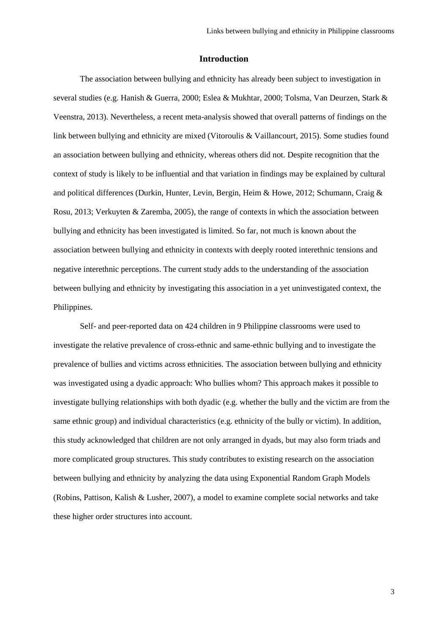# **Introduction**

The association between bullying and ethnicity has already been subject to investigation in several studies (e.g. Hanish & Guerra, 2000; Eslea & Mukhtar, 2000; Tolsma, Van Deurzen, Stark & Veenstra, 2013). Nevertheless, a recent meta-analysis showed that overall patterns of findings on the link between bullying and ethnicity are mixed (Vitoroulis & Vaillancourt, 2015). Some studies found an association between bullying and ethnicity, whereas others did not. Despite recognition that the context of study is likely to be influential and that variation in findings may be explained by cultural and political differences (Durkin, Hunter, Levin, Bergin, Heim & Howe, 2012; Schumann, Craig & Rosu, 2013; Verkuyten & Zaremba, 2005), the range of contexts in which the association between bullying and ethnicity has been investigated is limited. So far, not much is known about the association between bullying and ethnicity in contexts with deeply rooted interethnic tensions and negative interethnic perceptions. The current study adds to the understanding of the association between bullying and ethnicity by investigating this association in a yet uninvestigated context, the Philippines.

Self- and peer-reported data on 424 children in 9 Philippine classrooms were used to investigate the relative prevalence of cross-ethnic and same-ethnic bullying and to investigate the prevalence of bullies and victims across ethnicities. The association between bullying and ethnicity was investigated using a dyadic approach: Who bullies whom? This approach makes it possible to investigate bullying relationships with both dyadic (e.g. whether the bully and the victim are from the same ethnic group) and individual characteristics (e.g. ethnicity of the bully or victim). In addition, this study acknowledged that children are not only arranged in dyads, but may also form triads and more complicated group structures. This study contributes to existing research on the association between bullying and ethnicity by analyzing the data using Exponential Random Graph Models (Robins, Pattison, Kalish & Lusher, 2007), a model to examine complete social networks and take these higher order structures into account.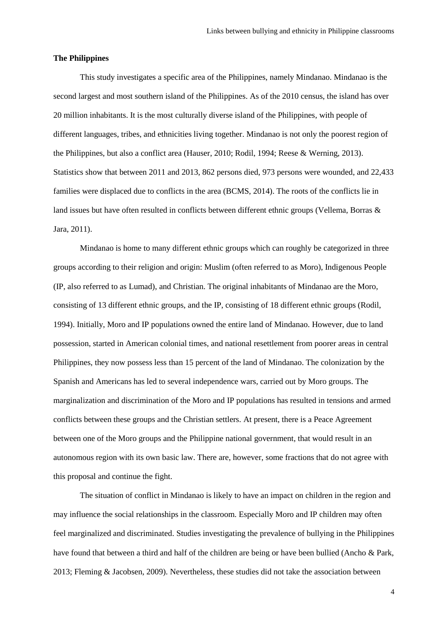# **The Philippines**

This study investigates a specific area of the Philippines, namely Mindanao. Mindanao is the second largest and most southern island of the Philippines. As of the 2010 census, the island has over 20 million inhabitants. It is the most culturally diverse island of the Philippines, with people of different languages, tribes, and ethnicities living together. Mindanao is not only the poorest region of the Philippines, but also a conflict area (Hauser, 2010; Rodil, 1994; Reese & Werning, 2013). Statistics show that between 2011 and 2013, 862 persons died, 973 persons were wounded, and 22,433 families were displaced due to conflicts in the area (BCMS, 2014). The roots of the conflicts lie in land issues but have often resulted in conflicts between different ethnic groups (Vellema, Borras & Jara, 2011).

Mindanao is home to many different ethnic groups which can roughly be categorized in three groups according to their religion and origin: Muslim (often referred to as Moro), Indigenous People (IP, also referred to as Lumad), and Christian. The original inhabitants of Mindanao are the Moro, consisting of 13 different ethnic groups, and the IP, consisting of 18 different ethnic groups (Rodil, 1994). Initially, Moro and IP populations owned the entire land of Mindanao. However, due to land possession, started in American colonial times, and national resettlement from poorer areas in central Philippines, they now possess less than 15 percent of the land of Mindanao. The colonization by the Spanish and Americans has led to several independence wars, carried out by Moro groups. The marginalization and discrimination of the Moro and IP populations has resulted in tensions and armed conflicts between these groups and the Christian settlers. At present, there is a Peace Agreement between one of the Moro groups and the Philippine national government, that would result in an autonomous region with its own basic law. There are, however, some fractions that do not agree with this proposal and continue the fight.

The situation of conflict in Mindanao is likely to have an impact on children in the region and may influence the social relationships in the classroom. Especially Moro and IP children may often feel marginalized and discriminated. Studies investigating the prevalence of bullying in the Philippines have found that between a third and half of the children are being or have been bullied (Ancho & Park, 2013; Fleming & Jacobsen, 2009). Nevertheless, these studies did not take the association between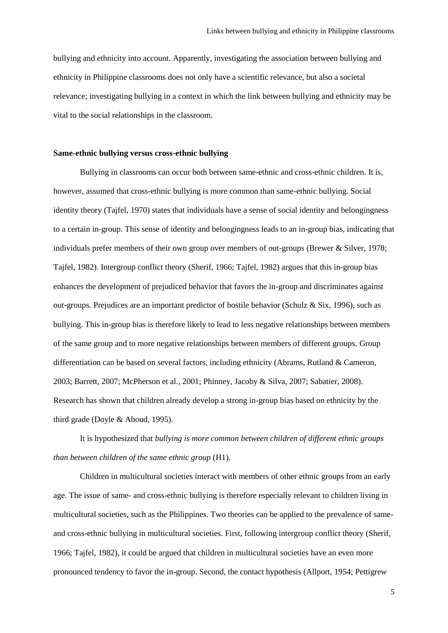bullying and ethnicity into account. Apparently, investigating the association between bullying and ethnicity in Philippine classrooms does not only have a scientific relevance, but also a societal relevance; investigating bullying in a context in which the link between bullying and ethnicity may be vital to the social relationships in the classroom.

# **Same-ethnic bullying versus cross-ethnic bullying**

Bullying in classrooms can occur both between same-ethnic and cross-ethnic children. It is, however, assumed that cross-ethnic bullying is more common than same-ethnic bullying. Social identity theory (Tajfel, 1970) states that individuals have a sense of social identity and belongingness to a certain in-group. This sense of identity and belongingness leads to an in-group bias, indicating that individuals prefer members of their own group over members of out-groups (Brewer & Silver, 1978; Tajfel, 1982). Intergroup conflict theory (Sherif, 1966; Tajfel, 1982) argues that this in-group bias enhances the development of prejudiced behavior that favors the in-group and discriminates against out-groups. Prejudices are an important predictor of hostile behavior (Schulz & Six, 1996), such as bullying. This in-group bias is therefore likely to lead to less negative relationships between members of the same group and to more negative relationships between members of different groups. Group differentiation can be based on several factors, including ethnicity (Abrams, Rutland & Cameron, 2003; Barrett, 2007; McPherson et al., 2001; Phinney, Jacoby & Silva, 2007; Sabatier, 2008). Research has shown that children already develop a strong in-group bias based on ethnicity by the third grade (Doyle & Aboud, 1995).

It is hypothesized that *bullying is more common between children of different ethnic groups than between children of the same ethnic group* (H1).

Children in multicultural societies interact with members of other ethnic groups from an early age. The issue of same- and cross-ethnic bullying is therefore especially relevant to children living in multicultural societies, such as the Philippines. Two theories can be applied to the prevalence of sameand cross-ethnic bullying in multicultural societies. First, following intergroup conflict theory (Sherif, 1966; Tajfel, 1982), it could be argued that children in multicultural societies have an even more pronounced tendency to favor the in-group. Second, the contact hypothesis (Allport, 1954; Pettigrew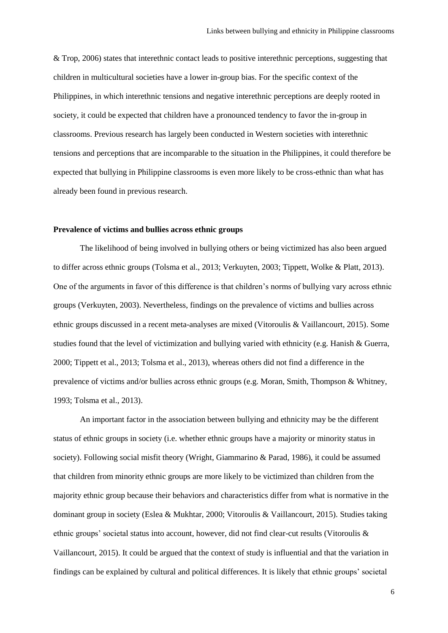& Trop, 2006) states that interethnic contact leads to positive interethnic perceptions, suggesting that children in multicultural societies have a lower in-group bias. For the specific context of the Philippines, in which interethnic tensions and negative interethnic perceptions are deeply rooted in society, it could be expected that children have a pronounced tendency to favor the in-group in classrooms. Previous research has largely been conducted in Western societies with interethnic tensions and perceptions that are incomparable to the situation in the Philippines, it could therefore be expected that bullying in Philippine classrooms is even more likely to be cross-ethnic than what has already been found in previous research.

# **Prevalence of victims and bullies across ethnic groups**

The likelihood of being involved in bullying others or being victimized has also been argued to differ across ethnic groups (Tolsma et al., 2013; Verkuyten, 2003; Tippett, Wolke & Platt, 2013). One of the arguments in favor of this difference is that children's norms of bullying vary across ethnic groups (Verkuyten, 2003). Nevertheless, findings on the prevalence of victims and bullies across ethnic groups discussed in a recent meta-analyses are mixed (Vitoroulis & Vaillancourt, 2015). Some studies found that the level of victimization and bullying varied with ethnicity (e.g. Hanish & Guerra, 2000; Tippett et al., 2013; Tolsma et al., 2013), whereas others did not find a difference in the prevalence of victims and/or bullies across ethnic groups (e.g. Moran, Smith, Thompson & Whitney, 1993; Tolsma et al., 2013).

An important factor in the association between bullying and ethnicity may be the different status of ethnic groups in society (i.e. whether ethnic groups have a majority or minority status in society). Following social misfit theory (Wright, Giammarino & Parad, 1986), it could be assumed that children from minority ethnic groups are more likely to be victimized than children from the majority ethnic group because their behaviors and characteristics differ from what is normative in the dominant group in society (Eslea & Mukhtar, 2000; Vitoroulis & Vaillancourt, 2015). Studies taking ethnic groups' societal status into account, however, did not find clear-cut results (Vitoroulis & Vaillancourt, 2015). It could be argued that the context of study is influential and that the variation in findings can be explained by cultural and political differences. It is likely that ethnic groups' societal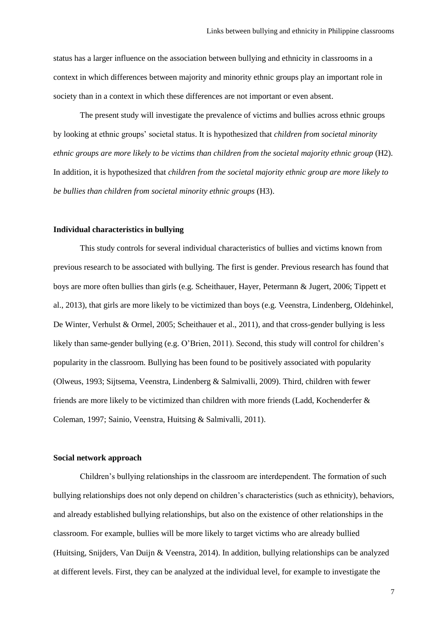status has a larger influence on the association between bullying and ethnicity in classrooms in a context in which differences between majority and minority ethnic groups play an important role in society than in a context in which these differences are not important or even absent.

The present study will investigate the prevalence of victims and bullies across ethnic groups by looking at ethnic groups' societal status. It is hypothesized that *children from societal minority ethnic groups are more likely to be victims than children from the societal majority ethnic group* (H2). In addition, it is hypothesized that *children from the societal majority ethnic group are more likely to be bullies than children from societal minority ethnic groups* (H3).

#### **Individual characteristics in bullying**

This study controls for several individual characteristics of bullies and victims known from previous research to be associated with bullying. The first is gender. Previous research has found that boys are more often bullies than girls (e.g. Scheithauer, Hayer, Petermann & Jugert, 2006; Tippett et al., 2013), that girls are more likely to be victimized than boys (e.g. Veenstra, Lindenberg, Oldehinkel, De Winter, Verhulst & Ormel, 2005; Scheithauer et al., 2011), and that cross-gender bullying is less likely than same-gender bullying (e.g. O'Brien, 2011). Second, this study will control for children's popularity in the classroom. Bullying has been found to be positively associated with popularity (Olweus, 1993; Sijtsema, Veenstra, Lindenberg & Salmivalli, 2009). Third, children with fewer friends are more likely to be victimized than children with more friends (Ladd, Kochenderfer & Coleman, 1997; Sainio, Veenstra, Huitsing & Salmivalli, 2011).

### **Social network approach**

Children's bullying relationships in the classroom are interdependent. The formation of such bullying relationships does not only depend on children's characteristics (such as ethnicity), behaviors, and already established bullying relationships, but also on the existence of other relationships in the classroom. For example, bullies will be more likely to target victims who are already bullied (Huitsing, Snijders, Van Duijn & Veenstra, 2014). In addition, bullying relationships can be analyzed at different levels. First, they can be analyzed at the individual level, for example to investigate the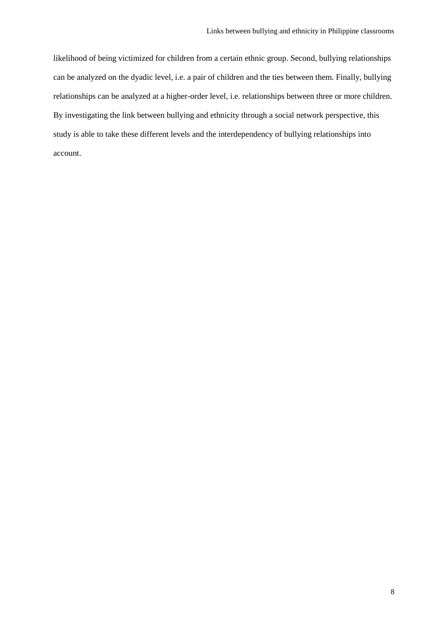likelihood of being victimized for children from a certain ethnic group. Second, bullying relationships can be analyzed on the dyadic level, i.e. a pair of children and the ties between them. Finally, bullying relationships can be analyzed at a higher-order level, i.e. relationships between three or more children. By investigating the link between bullying and ethnicity through a social network perspective, this study is able to take these different levels and the interdependency of bullying relationships into account.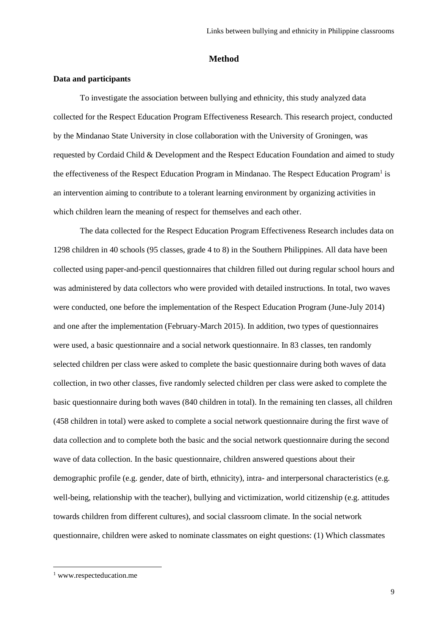### **Method**

# **Data and participants**

To investigate the association between bullying and ethnicity, this study analyzed data collected for the Respect Education Program Effectiveness Research. This research project, conducted by the Mindanao State University in close collaboration with the University of Groningen, was requested by Cordaid Child & Development and the Respect Education Foundation and aimed to study the effectiveness of the Respect Education Program in Mindanao. The Respect Education Program<sup>1</sup> is an intervention aiming to contribute to a tolerant learning environment by organizing activities in which children learn the meaning of respect for themselves and each other.

The data collected for the Respect Education Program Effectiveness Research includes data on 1298 children in 40 schools (95 classes, grade 4 to 8) in the Southern Philippines. All data have been collected using paper-and-pencil questionnaires that children filled out during regular school hours and was administered by data collectors who were provided with detailed instructions. In total, two waves were conducted, one before the implementation of the Respect Education Program (June-July 2014) and one after the implementation (February-March 2015). In addition, two types of questionnaires were used, a basic questionnaire and a social network questionnaire. In 83 classes, ten randomly selected children per class were asked to complete the basic questionnaire during both waves of data collection, in two other classes, five randomly selected children per class were asked to complete the basic questionnaire during both waves (840 children in total). In the remaining ten classes, all children (458 children in total) were asked to complete a social network questionnaire during the first wave of data collection and to complete both the basic and the social network questionnaire during the second wave of data collection. In the basic questionnaire, children answered questions about their demographic profile (e.g. gender, date of birth, ethnicity), intra- and interpersonal characteristics (e.g. well-being, relationship with the teacher), bullying and victimization, world citizenship (e.g. attitudes towards children from different cultures), and social classroom climate. In the social network questionnaire, children were asked to nominate classmates on eight questions: (1) Which classmates

l

<sup>&</sup>lt;sup>1</sup> www.respecteducation.me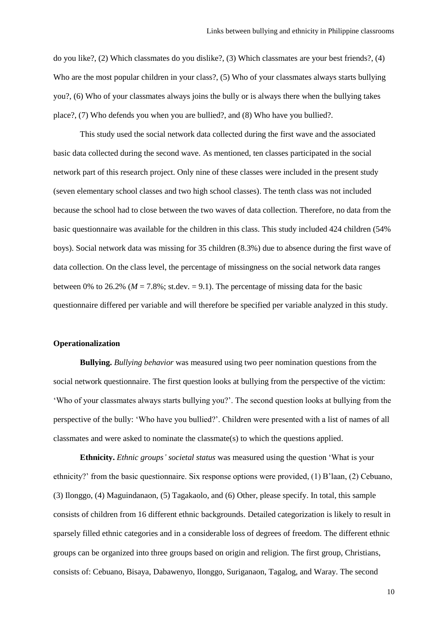do you like?, (2) Which classmates do you dislike?, (3) Which classmates are your best friends?, (4) Who are the most popular children in your class?, (5) Who of your classmates always starts bullying you?, (6) Who of your classmates always joins the bully or is always there when the bullying takes place?, (7) Who defends you when you are bullied?, and (8) Who have you bullied?.

This study used the social network data collected during the first wave and the associated basic data collected during the second wave. As mentioned, ten classes participated in the social network part of this research project. Only nine of these classes were included in the present study (seven elementary school classes and two high school classes). The tenth class was not included because the school had to close between the two waves of data collection. Therefore, no data from the basic questionnaire was available for the children in this class. This study included 424 children (54% boys). Social network data was missing for 35 children (8.3%) due to absence during the first wave of data collection. On the class level, the percentage of missingness on the social network data ranges between 0% to 26.2% ( $M = 7.8$ %; st.dev. = 9.1). The percentage of missing data for the basic questionnaire differed per variable and will therefore be specified per variable analyzed in this study.

# **Operationalization**

**Bullying.** *Bullying behavior* was measured using two peer nomination questions from the social network questionnaire. The first question looks at bullying from the perspective of the victim: 'Who of your classmates always starts bullying you?'. The second question looks at bullying from the perspective of the bully: 'Who have you bullied?'. Children were presented with a list of names of all classmates and were asked to nominate the classmate(s) to which the questions applied.

**Ethnicity.** *Ethnic groups' societal status* was measured using the question 'What is your ethnicity?' from the basic questionnaire. Six response options were provided, (1) B'laan, (2) Cebuano, (3) Ilonggo, (4) Maguindanaon, (5) Tagakaolo, and (6) Other, please specify. In total, this sample consists of children from 16 different ethnic backgrounds. Detailed categorization is likely to result in sparsely filled ethnic categories and in a considerable loss of degrees of freedom. The different ethnic groups can be organized into three groups based on origin and religion. The first group, Christians, consists of: Cebuano, Bisaya, Dabawenyo, Ilonggo, Suriganaon, Tagalog, and Waray. The second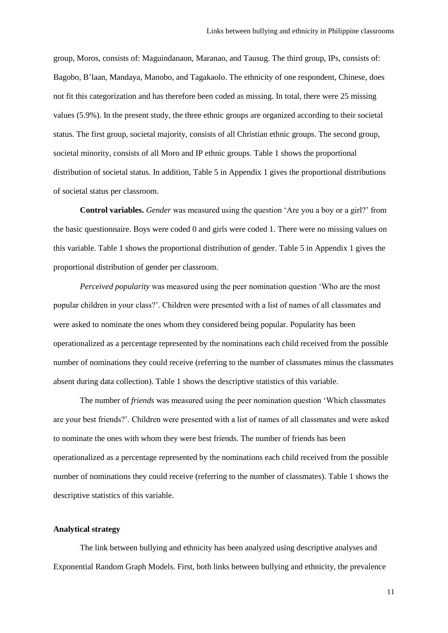group, Moros, consists of: Maguindanaon, Maranao, and Tausug. The third group, IPs, consists of: Bagobo, B'laan, Mandaya, Manobo, and Tagakaolo. The ethnicity of one respondent, Chinese, does not fit this categorization and has therefore been coded as missing. In total, there were 25 missing values (5.9%). In the present study, the three ethnic groups are organized according to their societal status. The first group, societal majority, consists of all Christian ethnic groups. The second group, societal minority, consists of all Moro and IP ethnic groups. Table 1 shows the proportional distribution of societal status. In addition, Table 5 in Appendix 1 gives the proportional distributions of societal status per classroom.

**Control variables.** *Gender* was measured using the question 'Are you a boy or a girl?' from the basic questionnaire. Boys were coded 0 and girls were coded 1. There were no missing values on this variable. Table 1 shows the proportional distribution of gender. Table 5 in Appendix 1 gives the proportional distribution of gender per classroom.

*Perceived popularity* was measured using the peer nomination question 'Who are the most popular children in your class?'. Children were presented with a list of names of all classmates and were asked to nominate the ones whom they considered being popular. Popularity has been operationalized as a percentage represented by the nominations each child received from the possible number of nominations they could receive (referring to the number of classmates minus the classmates absent during data collection). Table 1 shows the descriptive statistics of this variable.

The number of *friends* was measured using the peer nomination question 'Which classmates are your best friends?'. Children were presented with a list of names of all classmates and were asked to nominate the ones with whom they were best friends. The number of friends has been operationalized as a percentage represented by the nominations each child received from the possible number of nominations they could receive (referring to the number of classmates). Table 1 shows the descriptive statistics of this variable.

# **Analytical strategy**

The link between bullying and ethnicity has been analyzed using descriptive analyses and Exponential Random Graph Models. First, both links between bullying and ethnicity, the prevalence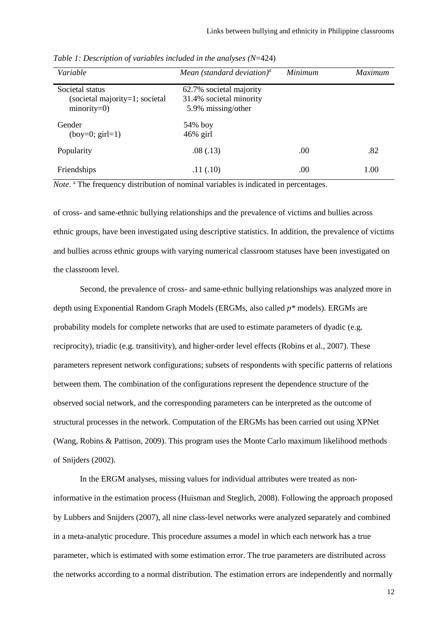| Variable                                                            | Mean (standard deviation) <sup>a</sup>                                   | Minimum | <i>Maximum</i> |
|---------------------------------------------------------------------|--------------------------------------------------------------------------|---------|----------------|
| Societal status<br>(societal majority=1; societal<br>$minority=0$ ) | 62.7% societal majority<br>31.4% societal minority<br>5.9% missing/other |         |                |
| Gender<br>$(boy=0; girl=1)$                                         | $54\%$ boy<br>$46\%$ girl                                                |         |                |
| Popularity                                                          | .08(.13)                                                                 | .00     | .82            |
| Friendships                                                         | .11(.10)                                                                 | .00.    | 1.00           |

*Table 1: Description of variables included in the analyses (N*=424)

Note.<sup>a</sup> The frequency distribution of nominal variables is indicated in percentages.

of cross- and same-ethnic bullying relationships and the prevalence of victims and bullies across ethnic groups, have been investigated using descriptive statistics. In addition, the prevalence of victims and bullies across ethnic groups with varying numerical classroom statuses have been investigated on the classroom level.

Second, the prevalence of cross- and same-ethnic bullying relationships was analyzed more in depth using Exponential Random Graph Models (ERGMs, also called *p\** models). ERGMs are probability models for complete networks that are used to estimate parameters of dyadic (e.g. reciprocity), triadic (e.g. transitivity), and higher-order level effects (Robins et al., 2007). These parameters represent network configurations; subsets of respondents with specific patterns of relations between them. The combination of the configurations represent the dependence structure of the observed social network, and the corresponding parameters can be interpreted as the outcome of structural processes in the network. Computation of the ERGMs has been carried out using XPNet (Wang, Robins & Pattison, 2009). This program uses the Monte Carlo maximum likelihood methods of Snijders (2002).

In the ERGM analyses, missing values for individual attributes were treated as noninformative in the estimation process (Huisman and Steglich, 2008). Following the approach proposed by Lubbers and Snijders (2007), all nine class-level networks were analyzed separately and combined in a meta-analytic procedure. This procedure assumes a model in which each network has a true parameter, which is estimated with some estimation error. The true parameters are distributed across the networks according to a normal distribution. The estimation errors are independently and normally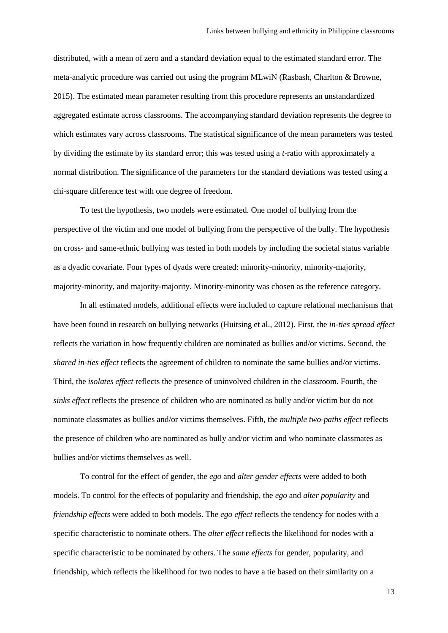distributed, with a mean of zero and a standard deviation equal to the estimated standard error. The meta-analytic procedure was carried out using the program MLwiN (Rasbash, Charlton & Browne, 2015). The estimated mean parameter resulting from this procedure represents an unstandardized aggregated estimate across classrooms. The accompanying standard deviation represents the degree to which estimates vary across classrooms. The statistical significance of the mean parameters was tested by dividing the estimate by its standard error; this was tested using a *t*-ratio with approximately a normal distribution. The significance of the parameters for the standard deviations was tested using a chi-square difference test with one degree of freedom.

To test the hypothesis, two models were estimated. One model of bullying from the perspective of the victim and one model of bullying from the perspective of the bully. The hypothesis on cross- and same-ethnic bullying was tested in both models by including the societal status variable as a dyadic covariate. Four types of dyads were created: minority-minority, minority-majority, majority-minority, and majority-majority. Minority-minority was chosen as the reference category.

In all estimated models, additional effects were included to capture relational mechanisms that have been found in research on bullying networks (Huitsing et al., 2012). First, the *in-ties spread effect* reflects the variation in how frequently children are nominated as bullies and/or victims. Second, the *shared in-ties effect* reflects the agreement of children to nominate the same bullies and/or victims. Third, the *isolates effect* reflects the presence of uninvolved children in the classroom. Fourth, the *sinks effect* reflects the presence of children who are nominated as bully and/or victim but do not nominate classmates as bullies and/or victims themselves. Fifth, the *multiple two-paths effect* reflects the presence of children who are nominated as bully and/or victim and who nominate classmates as bullies and/or victims themselves as well.

To control for the effect of gender, the *ego* and *alter gender effects* were added to both models. To control for the effects of popularity and friendship, the *ego* and *alter popularity* and *friendship effects* were added to both models. The *ego effect* reflects the tendency for nodes with a specific characteristic to nominate others. The *alter effect* reflects the likelihood for nodes with a specific characteristic to be nominated by others. The *same effects* for gender, popularity, and friendship, which reflects the likelihood for two nodes to have a tie based on their similarity on a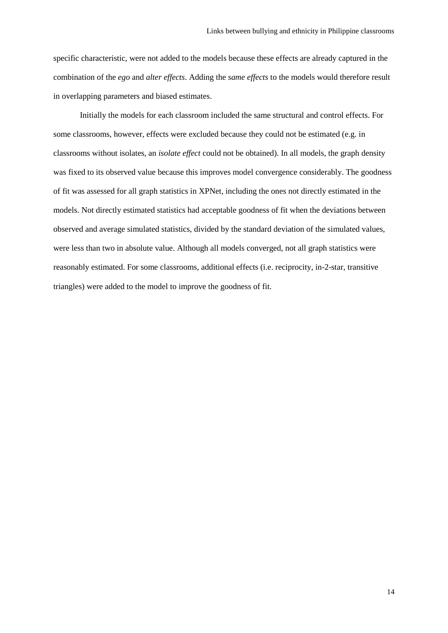specific characteristic, were not added to the models because these effects are already captured in the combination of the *ego* and *alter effects*. Adding the *same effects* to the models would therefore result in overlapping parameters and biased estimates.

Initially the models for each classroom included the same structural and control effects. For some classrooms, however, effects were excluded because they could not be estimated (e.g. in classrooms without isolates, an *isolate effect* could not be obtained). In all models, the graph density was fixed to its observed value because this improves model convergence considerably. The goodness of fit was assessed for all graph statistics in XPNet, including the ones not directly estimated in the models. Not directly estimated statistics had acceptable goodness of fit when the deviations between observed and average simulated statistics, divided by the standard deviation of the simulated values, were less than two in absolute value. Although all models converged, not all graph statistics were reasonably estimated. For some classrooms, additional effects (i.e. reciprocity, in-2-star, transitive triangles) were added to the model to improve the goodness of fit.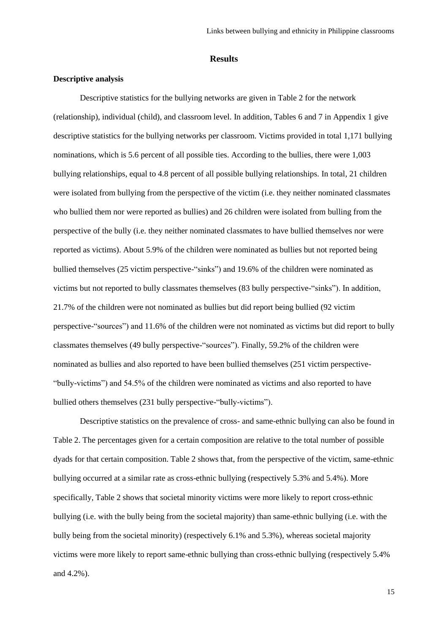#### **Results**

# **Descriptive analysis**

Descriptive statistics for the bullying networks are given in Table 2 for the network (relationship), individual (child), and classroom level. In addition, Tables 6 and 7 in Appendix 1 give descriptive statistics for the bullying networks per classroom. Victims provided in total 1,171 bullying nominations, which is 5.6 percent of all possible ties. According to the bullies, there were 1,003 bullying relationships, equal to 4.8 percent of all possible bullying relationships. In total, 21 children were isolated from bullying from the perspective of the victim (i.e. they neither nominated classmates who bullied them nor were reported as bullies) and 26 children were isolated from bulling from the perspective of the bully (i.e. they neither nominated classmates to have bullied themselves nor were reported as victims). About 5.9% of the children were nominated as bullies but not reported being bullied themselves (25 victim perspective-"sinks") and 19.6% of the children were nominated as victims but not reported to bully classmates themselves (83 bully perspective-"sinks"). In addition, 21.7% of the children were not nominated as bullies but did report being bullied (92 victim perspective-"sources") and 11.6% of the children were not nominated as victims but did report to bully classmates themselves (49 bully perspective-"sources"). Finally, 59.2% of the children were nominated as bullies and also reported to have been bullied themselves (251 victim perspective- "bully-victims") and 54.5% of the children were nominated as victims and also reported to have bullied others themselves (231 bully perspective-"bully-victims").

Descriptive statistics on the prevalence of cross- and same-ethnic bullying can also be found in Table 2. The percentages given for a certain composition are relative to the total number of possible dyads for that certain composition. Table 2 shows that, from the perspective of the victim, same-ethnic bullying occurred at a similar rate as cross-ethnic bullying (respectively 5.3% and 5.4%). More specifically, Table 2 shows that societal minority victims were more likely to report cross-ethnic bullying (i.e. with the bully being from the societal majority) than same-ethnic bullying (i.e. with the bully being from the societal minority) (respectively 6.1% and 5.3%), whereas societal majority victims were more likely to report same-ethnic bullying than cross-ethnic bullying (respectively 5.4% and 4.2%).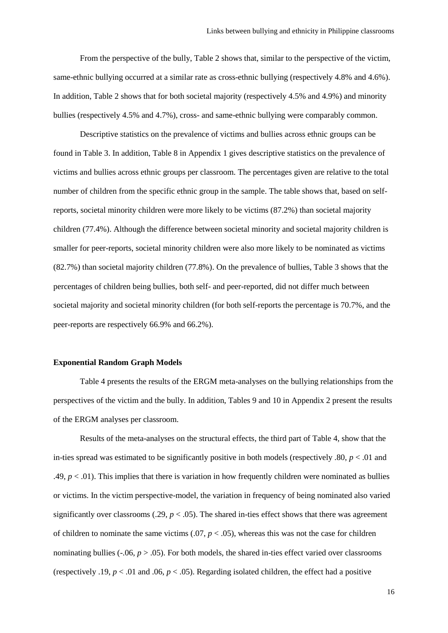From the perspective of the bully, Table 2 shows that, similar to the perspective of the victim, same-ethnic bullying occurred at a similar rate as cross-ethnic bullying (respectively 4.8% and 4.6%). In addition, Table 2 shows that for both societal majority (respectively 4.5% and 4.9%) and minority bullies (respectively 4.5% and 4.7%), cross- and same-ethnic bullying were comparably common.

Descriptive statistics on the prevalence of victims and bullies across ethnic groups can be found in Table 3. In addition, Table 8 in Appendix 1 gives descriptive statistics on the prevalence of victims and bullies across ethnic groups per classroom. The percentages given are relative to the total number of children from the specific ethnic group in the sample. The table shows that, based on selfreports, societal minority children were more likely to be victims (87.2%) than societal majority children (77.4%). Although the difference between societal minority and societal majority children is smaller for peer-reports, societal minority children were also more likely to be nominated as victims (82.7%) than societal majority children (77.8%). On the prevalence of bullies, Table 3 shows that the percentages of children being bullies, both self- and peer-reported, did not differ much between societal majority and societal minority children (for both self-reports the percentage is 70.7%, and the peer-reports are respectively 66.9% and 66.2%).

#### **Exponential Random Graph Models**

Table 4 presents the results of the ERGM meta-analyses on the bullying relationships from the perspectives of the victim and the bully. In addition, Tables 9 and 10 in Appendix 2 present the results of the ERGM analyses per classroom.

Results of the meta-analyses on the structural effects, the third part of Table 4, show that the in-ties spread was estimated to be significantly positive in both models (respectively  $.80, p < .01$  and .49,  $p < .01$ ). This implies that there is variation in how frequently children were nominated as bullies or victims. In the victim perspective-model, the variation in frequency of being nominated also varied significantly over classrooms (.29,  $p < .05$ ). The shared in-ties effect shows that there was agreement of children to nominate the same victims  $(.07, p < .05)$ , whereas this was not the case for children nominating bullies  $(-06, p > 0.05)$ . For both models, the shared in-ties effect varied over classrooms (respectively .19,  $p < .01$  and .06,  $p < .05$ ). Regarding isolated children, the effect had a positive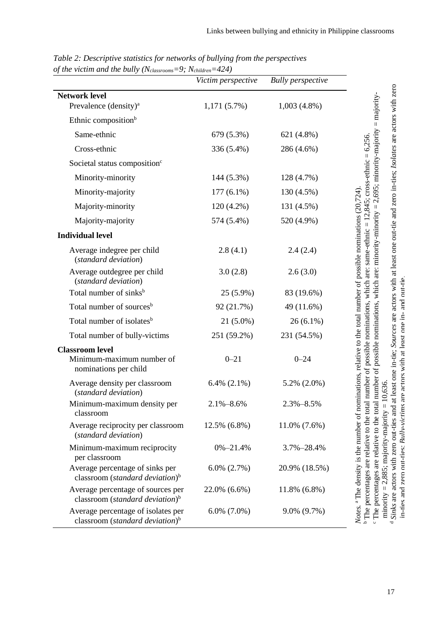|                                                                                            | Victim perspective | <b>Bully</b> perspective |                                                                                                                                                                                                                                                                                                                                                                                                                                                                                                                                                                                        |
|--------------------------------------------------------------------------------------------|--------------------|--------------------------|----------------------------------------------------------------------------------------------------------------------------------------------------------------------------------------------------------------------------------------------------------------------------------------------------------------------------------------------------------------------------------------------------------------------------------------------------------------------------------------------------------------------------------------------------------------------------------------|
| <b>Network level</b>                                                                       |                    |                          |                                                                                                                                                                                                                                                                                                                                                                                                                                                                                                                                                                                        |
| Prevalence (density) <sup>a</sup>                                                          | 1,171(5.7%)        | $1,003(4.8\%)$           |                                                                                                                                                                                                                                                                                                                                                                                                                                                                                                                                                                                        |
| Ethnic composition <sup>b</sup>                                                            |                    |                          | $=$ majority-                                                                                                                                                                                                                                                                                                                                                                                                                                                                                                                                                                          |
| Same-ethnic                                                                                | 679 (5.3%)         | 621 (4.8%)               |                                                                                                                                                                                                                                                                                                                                                                                                                                                                                                                                                                                        |
| Cross-ethnic                                                                               | 336 (5.4%)         | 286 (4.6%)               |                                                                                                                                                                                                                                                                                                                                                                                                                                                                                                                                                                                        |
| Societal status composition <sup>c</sup>                                                   |                    |                          |                                                                                                                                                                                                                                                                                                                                                                                                                                                                                                                                                                                        |
| Minority-minority                                                                          | 144 (5.3%)         | 128 (4.7%)               |                                                                                                                                                                                                                                                                                                                                                                                                                                                                                                                                                                                        |
| Minority-majority                                                                          | $177(6.1\%)$       | 130 (4.5%)               |                                                                                                                                                                                                                                                                                                                                                                                                                                                                                                                                                                                        |
| Majority-minority                                                                          | 120 (4.2%)         | 131 (4.5%)               |                                                                                                                                                                                                                                                                                                                                                                                                                                                                                                                                                                                        |
| Majority-majority                                                                          | 574 (5.4%)         | 520 (4.9%)               |                                                                                                                                                                                                                                                                                                                                                                                                                                                                                                                                                                                        |
| <b>Individual level</b>                                                                    |                    |                          |                                                                                                                                                                                                                                                                                                                                                                                                                                                                                                                                                                                        |
| Average indegree per child<br>(standard deviation)                                         | 2.8(4.1)           | 2.4(2.4)                 |                                                                                                                                                                                                                                                                                                                                                                                                                                                                                                                                                                                        |
| Average outdegree per child<br>(standard deviation)                                        | 3.0(2.8)           | 2.6(3.0)                 |                                                                                                                                                                                                                                                                                                                                                                                                                                                                                                                                                                                        |
| Total number of sinks <sup>b</sup>                                                         | 25 (5.9%)          | 83 (19.6%)               |                                                                                                                                                                                                                                                                                                                                                                                                                                                                                                                                                                                        |
| Total number of sources <sup>b</sup>                                                       | 92 (21.7%)         | 49 (11.6%)               |                                                                                                                                                                                                                                                                                                                                                                                                                                                                                                                                                                                        |
| Total number of isolates <sup>b</sup>                                                      | $21(5.0\%)$        | $26(6.1\%)$              |                                                                                                                                                                                                                                                                                                                                                                                                                                                                                                                                                                                        |
| Total number of bully-victims                                                              | 251 (59.2%)        | 231 (54.5%)              |                                                                                                                                                                                                                                                                                                                                                                                                                                                                                                                                                                                        |
| <b>Classroom level</b><br>Minimum-maximum number of<br>nominations per child               | $0 - 21$           | $0 - 24$                 | Sinks are actors with zero out-ties and at least one in-tie; Sources are actors with at least one out-tie and zero in-ties; Isolates are actors with zero<br>The percentages are relative to the total number of possible nominations, which are: minority-minority = $2,695$ ; minority-majority<br>total number of possible nominations, which are: same-ethnic = $12,845$ ; cross-ethnic = $6,256$ .<br>nominations, relative to the total number of possible nominations (20,724).<br>in-ties and zero out-ties: <i>Bully-victims</i> are actors with at least one in- and out-tie |
| Average density per classroom<br>(standard deviation)                                      | 6.4% $(2.1\%)$     | $5.2\%$ $(2.0\%)$        | $= 10,636.$                                                                                                                                                                                                                                                                                                                                                                                                                                                                                                                                                                            |
| Minimum-maximum density per<br>classroom                                                   | $2.1\% - 8.6\%$    | 2.3%-8.5%                |                                                                                                                                                                                                                                                                                                                                                                                                                                                                                                                                                                                        |
| Average reciprocity per classroom<br>(standard deviation)                                  | 12.5% (6.8%)       | 11.0% (7.6%)             |                                                                                                                                                                                                                                                                                                                                                                                                                                                                                                                                                                                        |
| Minimum-maximum reciprocity<br>per classroom                                               | $0\% - 21.4\%$     | 3.7%-28.4%               |                                                                                                                                                                                                                                                                                                                                                                                                                                                                                                                                                                                        |
| Average percentage of sinks per<br>classroom ( <i>standard deviation</i> ) <sup>b</sup>    | $6.0\%$ $(2.7\%)$  | 20.9% (18.5%)            | $minority = 2,885$ ; $majority-majority$<br>Notes. <sup>a</sup> The density is the number of<br><sup>b</sup> The percentages are relative to the                                                                                                                                                                                                                                                                                                                                                                                                                                       |
| Average percentage of sources per<br>classroom (standard deviation) <sup>b</sup>           | 22.0% (6.6%)       | 11.8% (6.8%)             |                                                                                                                                                                                                                                                                                                                                                                                                                                                                                                                                                                                        |
| Average percentage of isolates per<br>classroom ( <i>standard deviation</i> ) <sup>b</sup> | $6.0\%$ $(7.0\%)$  | 9.0% (9.7%)              | d                                                                                                                                                                                                                                                                                                                                                                                                                                                                                                                                                                                      |

*Table 2: Descriptive statistics for networks of bullying from the perspectives of the victim and the bully (Nclassrooms=9; Nchildren=424)*

in-ties and zero out-ties; *Bully-victims* are actors with at least one in- and out-tie.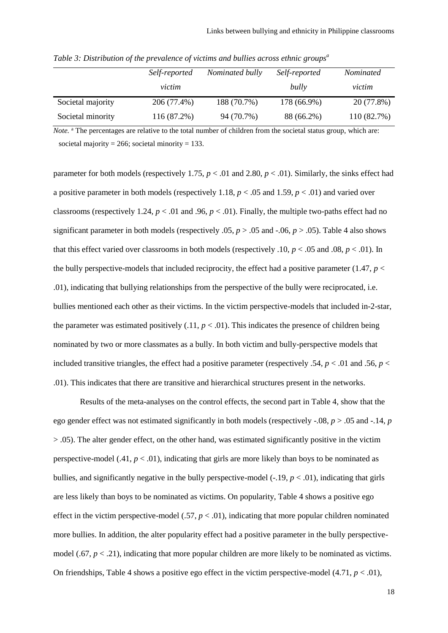|                   | Self-reported | Nominated bully | Self-reported | <i>Nominated</i> |
|-------------------|---------------|-----------------|---------------|------------------|
|                   | victim        |                 | bully         | victim           |
| Societal majority | 206 (77.4%)   | 188 (70.7%)     | 178 (66.9%)   | 20 (77.8%)       |
| Societal minority | 116 (87.2%)   | 94 (70.7%)      | 88 (66.2%)    | 110 (82.7%)      |

*Table 3: Distribution of the prevalence of victims and bullies across ethnic groups<sup>a</sup>*

*Note.* <sup>a</sup> The percentages are relative to the total number of children from the societal status group, which are: societal majority =  $266$ ; societal minority = 133.

parameter for both models (respectively 1.75,  $p < .01$  and 2.80,  $p < .01$ ). Similarly, the sinks effect had a positive parameter in both models (respectively 1.18, *p* < .05 and 1.59, *p* < .01) and varied over classrooms (respectively 1.24,  $p < .01$  and .96,  $p < .01$ ). Finally, the multiple two-paths effect had no significant parameter in both models (respectively .05,  $p > .05$  and  $-.06$ ,  $p > .05$ ). Table 4 also shows that this effect varied over classrooms in both models (respectively .10,  $p < .05$  and .08,  $p < .01$ ). In the bully perspective-models that included reciprocity, the effect had a positive parameter (1.47,  $p <$ .01), indicating that bullying relationships from the perspective of the bully were reciprocated, i.e. bullies mentioned each other as their victims. In the victim perspective-models that included in-2-star, the parameter was estimated positively  $(.11, p < .01)$ . This indicates the presence of children being nominated by two or more classmates as a bully. In both victim and bully-perspective models that included transitive triangles, the effect had a positive parameter (respectively .54,  $p < .01$  and .56,  $p <$ .01). This indicates that there are transitive and hierarchical structures present in the networks.

Results of the meta-analyses on the control effects, the second part in Table 4, show that the ego gender effect was not estimated significantly in both models (respectively -.08, *p* > .05 and -.14, *p* > .05). The alter gender effect, on the other hand, was estimated significantly positive in the victim perspective-model  $(.41, p < .01)$ , indicating that girls are more likely than boys to be nominated as bullies, and significantly negative in the bully perspective-model  $(-.19, p < .01)$ , indicating that girls are less likely than boys to be nominated as victims. On popularity, Table 4 shows a positive ego effect in the victim perspective-model (.57,  $p < .01$ ), indicating that more popular children nominated more bullies. In addition, the alter popularity effect had a positive parameter in the bully perspectivemodel  $(.67, p < .21)$ , indicating that more popular children are more likely to be nominated as victims. On friendships, Table 4 shows a positive ego effect in the victim perspective-model  $(4.71, p < .01)$ ,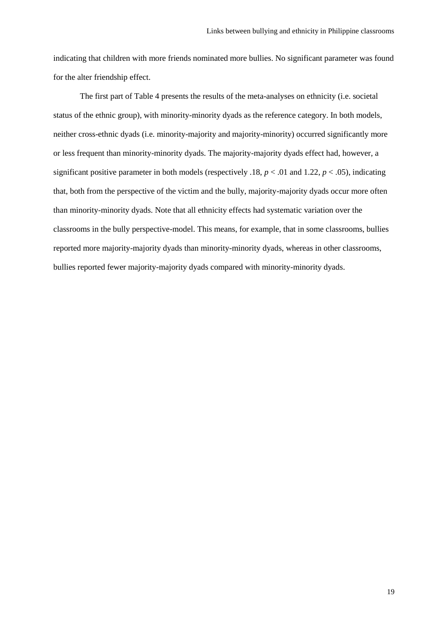indicating that children with more friends nominated more bullies. No significant parameter was found for the alter friendship effect.

The first part of Table 4 presents the results of the meta-analyses on ethnicity (i.e. societal status of the ethnic group), with minority-minority dyads as the reference category. In both models, neither cross-ethnic dyads (i.e. minority-majority and majority-minority) occurred significantly more or less frequent than minority-minority dyads. The majority-majority dyads effect had, however, a significant positive parameter in both models (respectively .18,  $p < .01$  and 1.22,  $p < .05$ ), indicating that, both from the perspective of the victim and the bully, majority-majority dyads occur more often than minority-minority dyads. Note that all ethnicity effects had systematic variation over the classrooms in the bully perspective-model. This means, for example, that in some classrooms, bullies reported more majority-majority dyads than minority-minority dyads, whereas in other classrooms, bullies reported fewer majority-majority dyads compared with minority-minority dyads.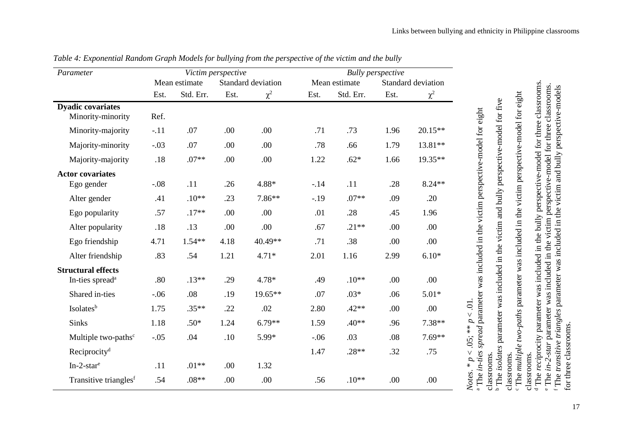| Parameter                                                | Victim perspective |               |      |                    |        | <b>Bully</b> perspective |      |                    |  |
|----------------------------------------------------------|--------------------|---------------|------|--------------------|--------|--------------------------|------|--------------------|--|
|                                                          |                    | Mean estimate |      | Standard deviation |        | Mean estimate            |      | Standard deviation |  |
|                                                          | Est.               | Std. Err.     | Est. | $\chi^2$           | Est.   | Std. Err.                | Est. | $\chi^2$           |  |
| <b>Dyadic covariates</b><br>Minority-minority            | Ref.               |               |      |                    |        |                          |      |                    |  |
| Minority-majority                                        | $-.11$             | .07           | .00  | .00                | .71    | .73                      | 1.96 | 20.15**            |  |
| Majority-minority                                        | $-.03$             | .07           | .00  | .00                | .78    | .66                      | 1.79 | 13.81**            |  |
| Majority-majority                                        | .18                | $.07**$       | .00  | .00                | 1.22   | $.62*$                   | 1.66 | 19.35**            |  |
| <b>Actor covariates</b><br>Ego gender                    | $-.08$             | .11           | .26  | 4.88*              | $-.14$ | .11                      | .28  | 8.24**             |  |
| Alter gender                                             | .41                | $.10**$       | .23  | 7.86**             | $-19$  | $.07**$                  | .09  | .20                |  |
| Ego popularity                                           | .57                | $.17**$       | .00  | .00                | .01    | .28                      | .45  | 1.96               |  |
| Alter popularity                                         | $.18$              | .13           | .00  | .00.               | .67    | $.21**$                  | .00  | .00.               |  |
| Ego friendship                                           | 4.71               | $1.54**$      | 4.18 | 40.49**            | .71    | .38                      | .00  | .00                |  |
| Alter friendship                                         | .83                | .54           | 1.21 | $4.71*$            | 2.01   | 1.16                     | 2.99 | $6.10*$            |  |
| <b>Structural effects</b><br>In-ties spread <sup>a</sup> | .80                | $.13**$       | .29  | $4.78*$            | .49    | $.10**$                  | .00  | .00                |  |
| Shared in-ties                                           | $-.06$             | .08           | .19  | 19.65**            | .07    | $.03*$                   | .06  | $5.01*$            |  |
| Isolates <sup>b</sup>                                    | 1.75               | $.35**$       | .22  | .02                | 2.80   | $.42**$                  | .00  | .00                |  |
| Sinks                                                    | 1.18               | $.50*$        | 1.24 | $6.79**$           | 1.59   | $.40**$                  | .96  | $7.38**$           |  |
| Multiple two-paths <sup>c</sup>                          | $-.05$             | .04           | .10  | 5.99*              | $-.06$ | .03                      | .08  | $7.69**$           |  |
| Reciprocity <sup>d</sup>                                 |                    |               |      |                    | 1.47   | $.28**$                  | .32  | .75                |  |
| $In-2-stare$                                             | .11                | $.01**$       | .00  | 1.32               |        |                          |      |                    |  |
| Transitive triangles <sup>f</sup>                        | .54                | $.08**$       | .00  | .00                | .56    | $.10**$                  | .00  | .00                |  |

*Table 4: Exponential Random Graph Models for bullying from the perspective of the victim and the bully*

 The *in-ties spread* parameter was included in the victim perspective-model for eight classrooms.

<sup>b</sup> The isolates parameter was included in the victim and bully perspective-model for five The *isolates* parameter was included in the victim and bully perspective-model for five

classrooms. The multiple two-paths parameter was included in the victim perspective-model for eight The *multiple two-paths* parameter was included in the victim perspective-model for eight

classrooms. <sup>d</sup> The reciprocity parameter was included in the bully perspective-model for three classrooms.

 The *reci*procity parameter was included in the bully perspective-model for three classrooms. The *in-2-star* parameter was included in the victim perspective-model for three classrooms.

 The *transitive triangles* parameter was included in the victim and bully perspective-models for three classrooms. for three classrooms.  $\circ$   $\circ$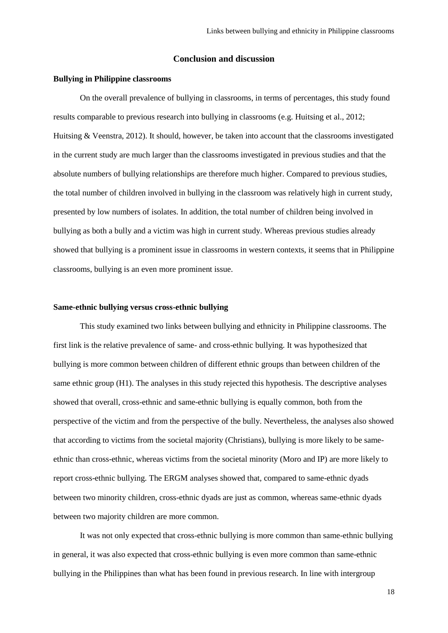## **Conclusion and discussion**

### **Bullying in Philippine classrooms**

On the overall prevalence of bullying in classrooms, in terms of percentages, this study found results comparable to previous research into bullying in classrooms (e.g. Huitsing et al., 2012; Huitsing & Veenstra, 2012). It should, however, be taken into account that the classrooms investigated in the current study are much larger than the classrooms investigated in previous studies and that the absolute numbers of bullying relationships are therefore much higher. Compared to previous studies, the total number of children involved in bullying in the classroom was relatively high in current study, presented by low numbers of isolates. In addition, the total number of children being involved in bullying as both a bully and a victim was high in current study. Whereas previous studies already showed that bullying is a prominent issue in classrooms in western contexts, it seems that in Philippine classrooms, bullying is an even more prominent issue.

#### **Same-ethnic bullying versus cross-ethnic bullying**

This study examined two links between bullying and ethnicity in Philippine classrooms. The first link is the relative prevalence of same- and cross-ethnic bullying. It was hypothesized that bullying is more common between children of different ethnic groups than between children of the same ethnic group (H1). The analyses in this study rejected this hypothesis. The descriptive analyses showed that overall, cross-ethnic and same-ethnic bullying is equally common, both from the perspective of the victim and from the perspective of the bully. Nevertheless, the analyses also showed that according to victims from the societal majority (Christians), bullying is more likely to be sameethnic than cross-ethnic, whereas victims from the societal minority (Moro and IP) are more likely to report cross-ethnic bullying. The ERGM analyses showed that, compared to same-ethnic dyads between two minority children, cross-ethnic dyads are just as common, whereas same-ethnic dyads between two majority children are more common.

It was not only expected that cross-ethnic bullying is more common than same-ethnic bullying in general, it was also expected that cross-ethnic bullying is even more common than same-ethnic bullying in the Philippines than what has been found in previous research. In line with intergroup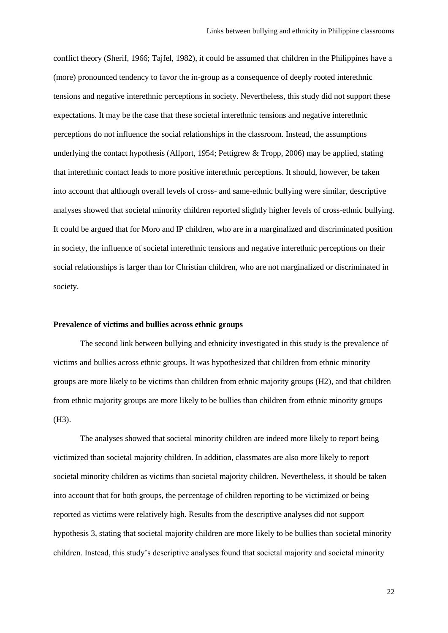conflict theory (Sherif, 1966; Tajfel, 1982), it could be assumed that children in the Philippines have a (more) pronounced tendency to favor the in-group as a consequence of deeply rooted interethnic tensions and negative interethnic perceptions in society. Nevertheless, this study did not support these expectations. It may be the case that these societal interethnic tensions and negative interethnic perceptions do not influence the social relationships in the classroom. Instead, the assumptions underlying the contact hypothesis (Allport, 1954; Pettigrew & Tropp, 2006) may be applied, stating that interethnic contact leads to more positive interethnic perceptions. It should, however, be taken into account that although overall levels of cross- and same-ethnic bullying were similar, descriptive analyses showed that societal minority children reported slightly higher levels of cross-ethnic bullying. It could be argued that for Moro and IP children, who are in a marginalized and discriminated position in society, the influence of societal interethnic tensions and negative interethnic perceptions on their social relationships is larger than for Christian children, who are not marginalized or discriminated in society.

# **Prevalence of victims and bullies across ethnic groups**

The second link between bullying and ethnicity investigated in this study is the prevalence of victims and bullies across ethnic groups. It was hypothesized that children from ethnic minority groups are more likely to be victims than children from ethnic majority groups (H2), and that children from ethnic majority groups are more likely to be bullies than children from ethnic minority groups (H3).

The analyses showed that societal minority children are indeed more likely to report being victimized than societal majority children. In addition, classmates are also more likely to report societal minority children as victims than societal majority children. Nevertheless, it should be taken into account that for both groups, the percentage of children reporting to be victimized or being reported as victims were relatively high. Results from the descriptive analyses did not support hypothesis 3, stating that societal majority children are more likely to be bullies than societal minority children. Instead, this study's descriptive analyses found that societal majority and societal minority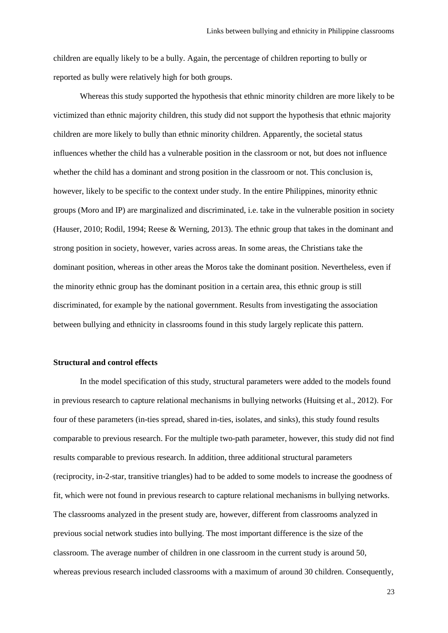children are equally likely to be a bully. Again, the percentage of children reporting to bully or reported as bully were relatively high for both groups.

Whereas this study supported the hypothesis that ethnic minority children are more likely to be victimized than ethnic majority children, this study did not support the hypothesis that ethnic majority children are more likely to bully than ethnic minority children. Apparently, the societal status influences whether the child has a vulnerable position in the classroom or not, but does not influence whether the child has a dominant and strong position in the classroom or not. This conclusion is, however, likely to be specific to the context under study. In the entire Philippines, minority ethnic groups (Moro and IP) are marginalized and discriminated, i.e. take in the vulnerable position in society (Hauser, 2010; Rodil, 1994; Reese & Werning, 2013). The ethnic group that takes in the dominant and strong position in society, however, varies across areas. In some areas, the Christians take the dominant position, whereas in other areas the Moros take the dominant position. Nevertheless, even if the minority ethnic group has the dominant position in a certain area, this ethnic group is still discriminated, for example by the national government. Results from investigating the association between bullying and ethnicity in classrooms found in this study largely replicate this pattern.

#### **Structural and control effects**

In the model specification of this study, structural parameters were added to the models found in previous research to capture relational mechanisms in bullying networks (Huitsing et al., 2012). For four of these parameters (in-ties spread, shared in-ties, isolates, and sinks), this study found results comparable to previous research. For the multiple two-path parameter, however, this study did not find results comparable to previous research. In addition, three additional structural parameters (reciprocity, in-2-star, transitive triangles) had to be added to some models to increase the goodness of fit, which were not found in previous research to capture relational mechanisms in bullying networks. The classrooms analyzed in the present study are, however, different from classrooms analyzed in previous social network studies into bullying. The most important difference is the size of the classroom. The average number of children in one classroom in the current study is around 50, whereas previous research included classrooms with a maximum of around 30 children. Consequently,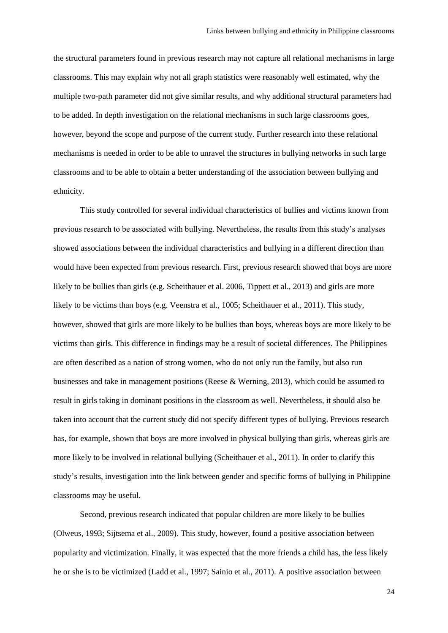the structural parameters found in previous research may not capture all relational mechanisms in large classrooms. This may explain why not all graph statistics were reasonably well estimated, why the multiple two-path parameter did not give similar results, and why additional structural parameters had to be added. In depth investigation on the relational mechanisms in such large classrooms goes, however, beyond the scope and purpose of the current study. Further research into these relational mechanisms is needed in order to be able to unravel the structures in bullying networks in such large classrooms and to be able to obtain a better understanding of the association between bullying and ethnicity.

This study controlled for several individual characteristics of bullies and victims known from previous research to be associated with bullying. Nevertheless, the results from this study's analyses showed associations between the individual characteristics and bullying in a different direction than would have been expected from previous research. First, previous research showed that boys are more likely to be bullies than girls (e.g. Scheithauer et al. 2006, Tippett et al., 2013) and girls are more likely to be victims than boys (e.g. Veenstra et al., 1005; Scheithauer et al., 2011). This study, however, showed that girls are more likely to be bullies than boys, whereas boys are more likely to be victims than girls. This difference in findings may be a result of societal differences. The Philippines are often described as a nation of strong women, who do not only run the family, but also run businesses and take in management positions (Reese & Werning, 2013), which could be assumed to result in girls taking in dominant positions in the classroom as well. Nevertheless, it should also be taken into account that the current study did not specify different types of bullying. Previous research has, for example, shown that boys are more involved in physical bullying than girls, whereas girls are more likely to be involved in relational bullying (Scheithauer et al., 2011). In order to clarify this study's results, investigation into the link between gender and specific forms of bullying in Philippine classrooms may be useful.

Second, previous research indicated that popular children are more likely to be bullies (Olweus, 1993; Sijtsema et al., 2009). This study, however, found a positive association between popularity and victimization. Finally, it was expected that the more friends a child has, the less likely he or she is to be victimized (Ladd et al., 1997; Sainio et al., 2011). A positive association between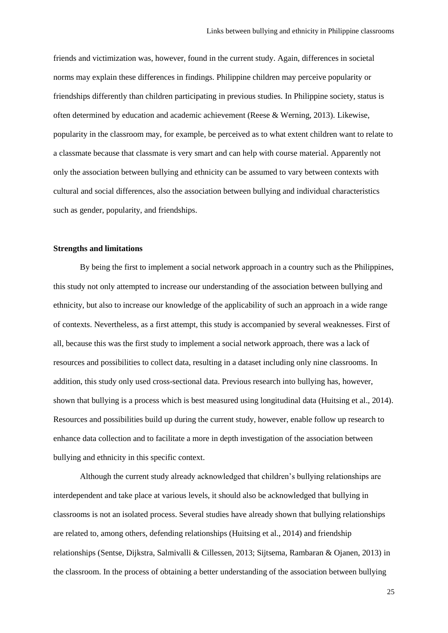friends and victimization was, however, found in the current study. Again, differences in societal norms may explain these differences in findings. Philippine children may perceive popularity or friendships differently than children participating in previous studies. In Philippine society, status is often determined by education and academic achievement (Reese & Werning, 2013). Likewise, popularity in the classroom may, for example, be perceived as to what extent children want to relate to a classmate because that classmate is very smart and can help with course material. Apparently not only the association between bullying and ethnicity can be assumed to vary between contexts with cultural and social differences, also the association between bullying and individual characteristics such as gender, popularity, and friendships.

### **Strengths and limitations**

By being the first to implement a social network approach in a country such as the Philippines, this study not only attempted to increase our understanding of the association between bullying and ethnicity, but also to increase our knowledge of the applicability of such an approach in a wide range of contexts. Nevertheless, as a first attempt, this study is accompanied by several weaknesses. First of all, because this was the first study to implement a social network approach, there was a lack of resources and possibilities to collect data, resulting in a dataset including only nine classrooms. In addition, this study only used cross-sectional data. Previous research into bullying has, however, shown that bullying is a process which is best measured using longitudinal data (Huitsing et al., 2014). Resources and possibilities build up during the current study, however, enable follow up research to enhance data collection and to facilitate a more in depth investigation of the association between bullying and ethnicity in this specific context.

Although the current study already acknowledged that children's bullying relationships are interdependent and take place at various levels, it should also be acknowledged that bullying in classrooms is not an isolated process. Several studies have already shown that bullying relationships are related to, among others, defending relationships (Huitsing et al., 2014) and friendship relationships (Sentse, Dijkstra, Salmivalli & Cillessen, 2013; Sijtsema, Rambaran & Ojanen, 2013) in the classroom. In the process of obtaining a better understanding of the association between bullying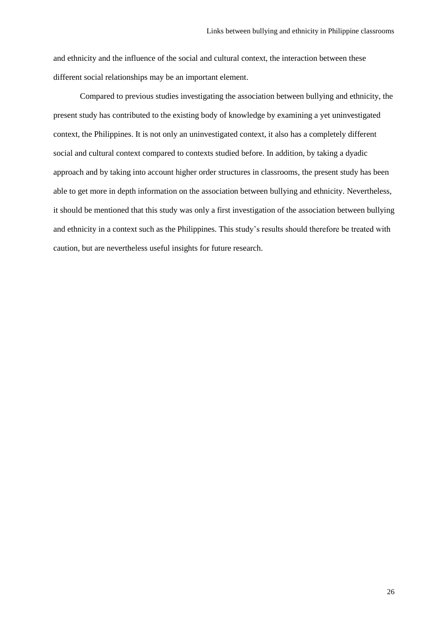and ethnicity and the influence of the social and cultural context, the interaction between these different social relationships may be an important element.

Compared to previous studies investigating the association between bullying and ethnicity, the present study has contributed to the existing body of knowledge by examining a yet uninvestigated context, the Philippines. It is not only an uninvestigated context, it also has a completely different social and cultural context compared to contexts studied before. In addition, by taking a dyadic approach and by taking into account higher order structures in classrooms, the present study has been able to get more in depth information on the association between bullying and ethnicity. Nevertheless, it should be mentioned that this study was only a first investigation of the association between bullying and ethnicity in a context such as the Philippines. This study's results should therefore be treated with caution, but are nevertheless useful insights for future research.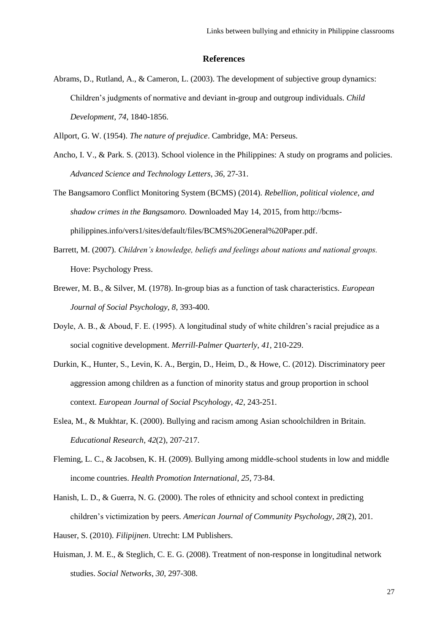# **References**

Abrams, D., Rutland, A., & Cameron, L. (2003). The development of subjective group dynamics: Children's judgments of normative and deviant in-group and outgroup individuals. *Child Development*, *74*, 1840-1856.

Allport, G. W. (1954). *The nature of prejudice*. Cambridge, MA: Perseus.

- Ancho, I. V., & Park. S. (2013). School violence in the Philippines: A study on programs and policies. *Advanced Science and Technology Letters*, *36*, 27-31.
- The Bangsamoro Conflict Monitoring System (BCMS) (2014). *Rebellion, political violence, and shadow crimes in the Bangsamoro.* Downloaded May 14, 2015, from [http://bcms](http://bcms-philippines.info/vers1/sites/default/files/BCMS%20General%20Paper.pdf)[philippines.info/vers1/sites/default/files/BCMS%20General%20Paper.pdf.](http://bcms-philippines.info/vers1/sites/default/files/BCMS%20General%20Paper.pdf)
- Barrett, M. (2007). *Children's knowledge, beliefs and feelings about nations and national groups.*  Hove: Psychology Press.
- Brewer, M. B., & Silver, M. (1978). In-group bias as a function of task characteristics. *European Journal of Social Psychology*, *8*, 393-400.
- Doyle, A. B., & Aboud, F. E. (1995). A longitudinal study of white children's racial prejudice as a social cognitive development. *Merrill-Palmer Quarterly*, *41*, 210-229.
- Durkin, K., Hunter, S., Levin, K. A., Bergin, D., Heim, D., & Howe, C. (2012). Discriminatory peer aggression among children as a function of minority status and group proportion in school context. *European Journal of Social Pscyhology*, *42*, 243-251.
- Eslea, M., & Mukhtar, K. (2000). Bullying and racism among Asian schoolchildren in Britain. *Educational Research*, *42*(2), 207-217.
- Fleming, L. C., & Jacobsen, K. H. (2009). Bullying among middle-school students in low and middle income countries. *Health Promotion International*, *25*, 73-84.
- Hanish, L. D., & Guerra, N. G. (2000). The roles of ethnicity and school context in predicting children's victimization by peers. *American Journal of Community Psychology*, *28*(2), 201.
- Hauser, S. (2010). *Filipijnen*. Utrecht: LM Publishers.
- Huisman, J. M. E., & Steglich, C. E. G. (2008). Treatment of non-response in longitudinal network studies. *Social Networks*, *30*, 297-308.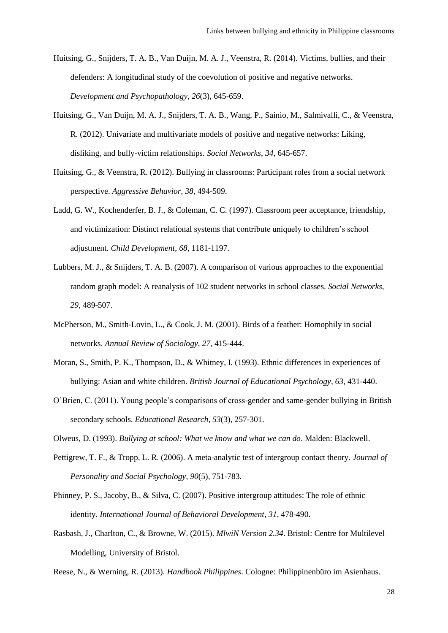- Huitsing, G., Snijders, T. A. B., Van Duijn, M. A. J., Veenstra, R. (2014). Victims, bullies, and their defenders: A longitudinal study of the coevolution of positive and negative networks. *Development and Psychopathology*, *26*(3), 645-659.
- Huitsing, G., Van Duijn, M. A. J., Snijders, T. A. B., Wang, P., Sainio, M., Salmivalli, C., & Veenstra, R. (2012). Univariate and multivariate models of positive and negative networks: Liking, disliking, and bully-victim relationships. *Social Networks*, *34*, 645-657.
- Huitsing, G., & Veenstra, R. (2012). Bullying in classrooms: Participant roles from a social network perspective. *Aggressive Behavior*, *38*, 494-509.
- Ladd, G. W., Kochenderfer, B. J., & Coleman, C. C. (1997). Classroom peer acceptance, friendship, and victimization: Distinct relational systems that contribute uniquely to children's school adjustment. *Child Development*, *68*, 1181-1197.
- Lubbers, M. J., & Snijders, T. A. B. (2007). A comparison of various approaches to the exponential random graph model: A reanalysis of 102 student networks in school classes. *Social Networks*, *29*, 489-507.
- McPherson, M., Smith-Lovin, L., & Cook, J. M. (2001). Birds of a feather: Homophily in social networks. *Annual Review of Sociology*, *27*, 415-444.
- Moran, S., Smith, P. K., Thompson, D., & Whitney, I. (1993). Ethnic differences in experiences of bullying: Asian and white children. *British Journal of Educational Psychology*, *63*, 431-440.
- O'Brien, C. (2011). Young people's comparisons of cross-gender and same-gender bullying in British secondary schools. *Educational Research*, *53*(3), 257-301.
- Olweus, D. (1993). *Bullying at school: What we know and what we can do*. Malden: Blackwell.
- Pettigrew, T. F., & Tropp, L. R. (2006). A meta-analytic test of intergroup contact theory. *Journal of Personality and Social Psychology*, *90*(5), 751-783.
- Phinney, P. S., Jacoby, B., & Silva, C. (2007). Positive intergroup attitudes: The role of ethnic identity. *International Journal of Behavioral Development*, *31*, 478-490.
- Rasbash, J., Charlton, C., & Browne, W. (2015). *MlwiN Version 2.34*. Bristol: Centre for Multilevel Modelling, University of Bristol.

Reese, N., & Werning, R. (2013). *Handbook Philippines*. Cologne: Philippinenbüro im Asienhaus.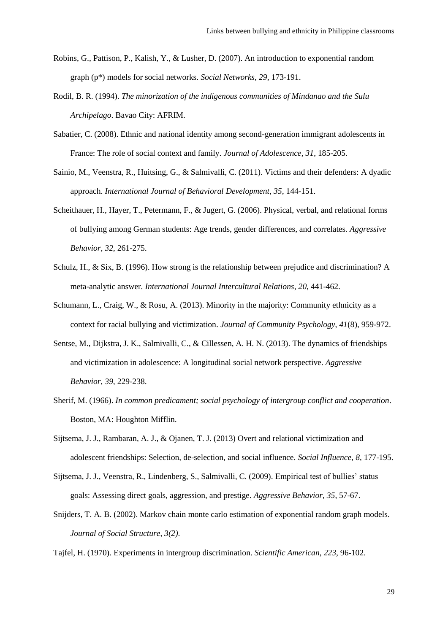- Robins, G., Pattison, P., Kalish, Y., & Lusher, D. (2007). An introduction to exponential random graph (p\*) models for social networks. *Social Networks*, *29*, 173-191.
- Rodil, B. R. (1994). *The minorization of the indigenous communities of Mindanao and the Sulu Archipelago*. Bavao City: AFRIM.
- Sabatier, C. (2008). Ethnic and national identity among second-generation immigrant adolescents in France: The role of social context and family. *Journal of Adolescence*, *31*, 185-205.
- Sainio, M., Veenstra, R., Huitsing, G., & Salmivalli, C. (2011). Victims and their defenders: A dyadic approach. *International Journal of Behavioral Development*, *35*, 144-151.
- Scheithauer, H., Hayer, T., Petermann, F., & Jugert, G. (2006). Physical, verbal, and relational forms of bullying among German students: Age trends, gender differences, and correlates. *Aggressive Behavior*, *32*, 261-275.
- Schulz, H., & Six, B. (1996). How strong is the relationship between prejudice and discrimination? A meta-analytic answer. *International Journal Intercultural Relations*, *20*, 441-462.
- Schumann, L., Craig, W., & Rosu, A. (2013). Minority in the majority: Community ethnicity as a context for racial bullying and victimization. *Journal of Community Psychology*, *41*(8), 959-972.
- Sentse, M., Dijkstra, J. K., Salmivalli, C., & Cillessen, A. H. N. (2013). The dynamics of friendships and victimization in adolescence: A longitudinal social network perspective. *Aggressive Behavior*, *39*, 229-238.
- Sherif, M. (1966). *In common predicament; social psychology of intergroup conflict and cooperation*. Boston, MA: Houghton Mifflin.
- Sijtsema, J. J., Rambaran, A. J., & Ojanen, T. J. (2013) Overt and relational victimization and adolescent friendships: Selection, de-selection, and social influence. *Social Influence*, *8*, 177-195.
- Sijtsema, J. J., Veenstra, R., Lindenberg, S., Salmivalli, C. (2009). Empirical test of bullies' status goals: Assessing direct goals, aggression, and prestige. *Aggressive Behavior*, *35*, 57-67.
- Snijders, T. A. B. (2002). Markov chain monte carlo estimation of exponential random graph models. *Journal of Social Structure*, *3(2)*.
- Tajfel, H. (1970). Experiments in intergroup discrimination. *Scientific American*, *223*, 96-102.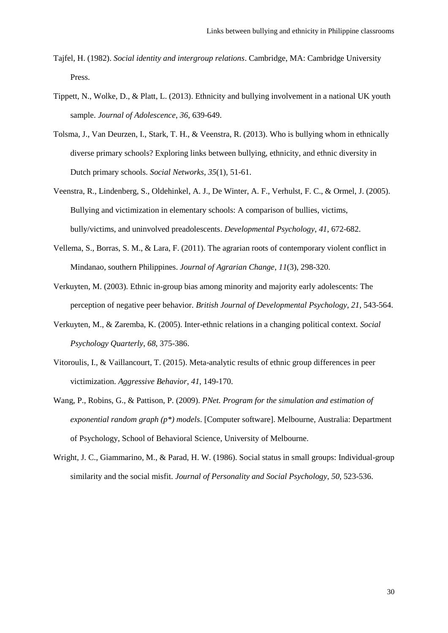- Tajfel, H. (1982). *Social identity and intergroup relations*. Cambridge, MA: Cambridge University Press.
- Tippett, N., Wolke, D., & Platt, L. (2013). Ethnicity and bullying involvement in a national UK youth sample. *Journal of Adolescence*, *36*, 639-649.
- Tolsma, J., Van Deurzen, I., Stark, T. H., & Veenstra, R. (2013). Who is bullying whom in ethnically diverse primary schools? Exploring links between bullying, ethnicity, and ethnic diversity in Dutch primary schools. *Social Networks*, *35*(1), 51-61.
- Veenstra, R., Lindenberg, S., Oldehinkel, A. J., De Winter, A. F., Verhulst, F. C., & Ormel, J. (2005). Bullying and victimization in elementary schools: A comparison of bullies, victims, bully/victims, and uninvolved preadolescents. *Developmental Psychology*, *41*, 672-682.
- Vellema, S., Borras, S. M., & Lara, F. (2011). The agrarian roots of contemporary violent conflict in Mindanao, southern Philippines. *Journal of Agrarian Change*, *11*(3), 298-320.
- Verkuyten, M. (2003). Ethnic in-group bias among minority and majority early adolescents: The perception of negative peer behavior. *British Journal of Developmental Psychology*, *21*, 543-564.
- Verkuyten, M., & Zaremba, K. (2005). Inter-ethnic relations in a changing political context. *Social Psychology Quarterly*, *68*, 375-386.
- Vitoroulis, I., & Vaillancourt, T. (2015). Meta-analytic results of ethnic group differences in peer victimization. *Aggressive Behavior*, *41*, 149-170.
- Wang, P., Robins, G., & Pattison, P. (2009). *PNet. Program for the simulation and estimation of exponential random graph (p\*) models*. [Computer software]. Melbourne, Australia: Department of Psychology, School of Behavioral Science, University of Melbourne.
- Wright, J. C., Giammarino, M., & Parad, H. W. (1986). Social status in small groups: Individual-group similarity and the social misfit. *Journal of Personality and Social Psychology*, *50*, 523-536.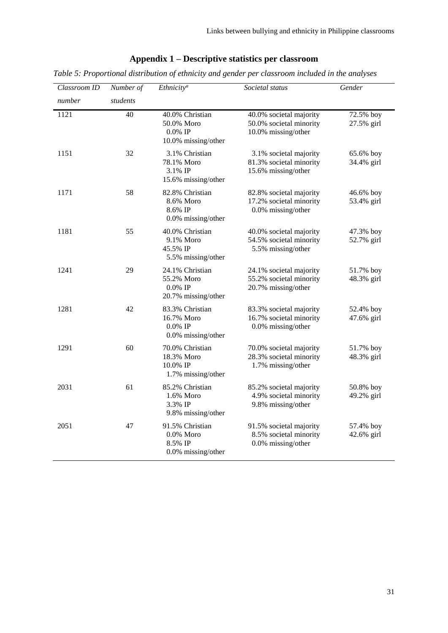# **Appendix 1 – Descriptive statistics per classroom**

*Table 5: Proportional distribution of ethnicity and gender per classroom included in the analyses* 

| Classroom ID | Number of | <b>Ethnicity<sup>a</sup></b>                                         | Societal status                                                           | Gender                  |  |
|--------------|-----------|----------------------------------------------------------------------|---------------------------------------------------------------------------|-------------------------|--|
| number       | students  |                                                                      |                                                                           |                         |  |
| 1121         | 40        | 40.0% Christian<br>50.0% Moro<br>$0.0\%$ IP<br>10.0% missing/other   | 40.0% societal majority<br>50.0% societal minority<br>10.0% missing/other | 72.5% boy<br>27.5% girl |  |
| 1151         | 32        | 3.1% Christian<br>78.1% Moro<br>3.1% IP<br>15.6% missing/other       | 3.1% societal majority<br>81.3% societal minority<br>15.6% missing/other  | 65.6% boy<br>34.4% girl |  |
| 1171         | 58        | 82.8% Christian<br>8.6% Moro<br>8.6% IP<br>0.0% missing/other        | 82.8% societal majority<br>17.2% societal minority<br>0.0% missing/other  | 46.6% boy<br>53.4% girl |  |
| 1181         | 55        | 40.0% Christian<br>9.1% Moro<br>45.5% IP<br>5.5% missing/other       | 40.0% societal majority<br>54.5% societal minority<br>5.5% missing/other  | 47.3% boy<br>52.7% girl |  |
| 1241         | 29        | 24.1% Christian<br>55.2% Moro<br>$0.0\%$ IP<br>20.7% missing/other   | 24.1% societal majority<br>55.2% societal minority<br>20.7% missing/other | 51.7% boy<br>48.3% girl |  |
| 1281         | 42        | 83.3% Christian<br>16.7% Moro<br>$0.0\%$ IP<br>$0.0\%$ missing/other | 83.3% societal majority<br>16.7% societal minority<br>0.0% missing/other  | 52.4% boy<br>47.6% girl |  |
| 1291         | 60        | 70.0% Christian<br>18.3% Moro<br>10.0% IP<br>1.7% missing/other      | 70.0% societal majority<br>28.3% societal minority<br>1.7% missing/other  | 51.7% boy<br>48.3% girl |  |
| 2031         | 61        | 85.2% Christian<br>1.6% Moro<br>3.3% IP<br>9.8% missing/other        | 85.2% societal majority<br>4.9% societal minority<br>9.8% missing/other   | 50.8% boy<br>49.2% girl |  |
| 2051         | 47        | 91.5% Christian<br>$0.0\%$ Moro<br>8.5% IP<br>0.0% missing/other     | 91.5% societal majority<br>8.5% societal minority<br>0.0% missing/other   | 57.4% boy<br>42.6% girl |  |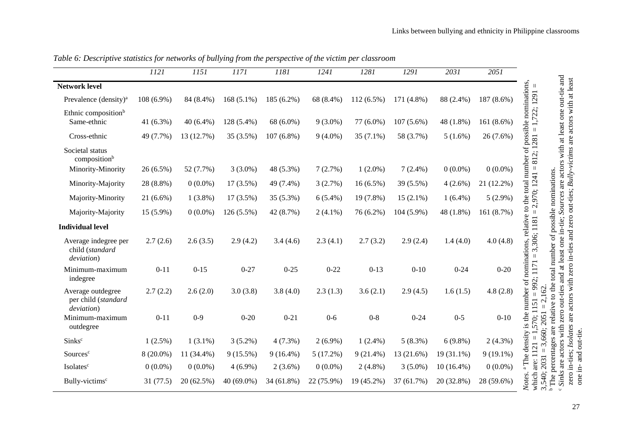|                                                        | 1121         | 1151       | 1171         | 1181         | 1241       | $\overline{1}281$ | 1291         | 2031         | 2051        |
|--------------------------------------------------------|--------------|------------|--------------|--------------|------------|-------------------|--------------|--------------|-------------|
| <b>Network level</b>                                   |              |            |              |              |            |                   |              |              |             |
| Prevalence (density) <sup>a</sup>                      | 108 (6.9%)   | 84 (8.4%)  | $168(5.1\%)$ | 185 (6.2%)   | 68 (8.4%)  | 112 (6.5%)        | 171 (4.8%)   | 88 (2.4%)    | 187 (8.6%)  |
| Ethnic composition <sup>b</sup>                        |              |            |              |              |            |                   |              |              |             |
| Same-ethnic                                            | 41 $(6.3\%)$ | 40 (6.4%)  | 128 (5.4%)   | 68 (6.0%)    | $9(3.0\%)$ | 77 (6.0%)         | $107(5.6\%)$ | 48 (1.8%)    | 161 (8.6%)  |
| Cross-ethnic                                           | 49 (7.7%)    | 13 (12.7%) | 35 (3.5%)    | $107(6.8\%)$ | $9(4.0\%)$ | $35(7.1\%)$       | 58 (3.7%)    | $5(1.6\%)$   | $26(7.6\%)$ |
| Societal status<br>composition <sup>b</sup>            |              |            |              |              |            |                   |              |              |             |
| Minority-Minority                                      | $26(6.5\%)$  | 52 (7.7%)  | $3(3.0\%)$   | 48 (5.3%)    | 7(2.7%)    | $1(2.0\%)$        | $7(2.4\%)$   | $0(0.0\%)$   | $0(0.0\%)$  |
| Minority-Majority                                      | 28 (8.8%)    | $0(0.0\%)$ | $17(3.5\%)$  | 49 (7.4%)    | 3(2.7%)    | $16(6.5\%)$       | 39 (5.5%)    | $4(2.6\%)$   | 21 (12.2%)  |
| Majority-Minority                                      | $21(6.6\%)$  | $1(3.8\%)$ | 17 (3.5%)    | 35 (5.3%)    | $6(5.4\%)$ | 19 (7.8%)         | $15(2.1\%)$  | $1(6.4\%)$   | $5(2.9\%)$  |
| Majority-Majority                                      | 15 (5.9%)    | $0(0.0\%)$ | $126(5.5\%)$ | 42 (8.7%)    | $2(4.1\%)$ | 76 (6.2%)         | 104 (5.9%)   | 48 (1.8%)    | 161 (8.7%)  |
| <b>Individual level</b>                                |              |            |              |              |            |                   |              |              |             |
| Average indegree per<br>child (standard<br>deviation)  | 2.7(2.6)     | 2.6(3.5)   | 2.9(4.2)     | 3.4(4.6)     | 2.3(4.1)   | 2.7(3.2)          | 2.9(2.4)     | 1.4(4.0)     | 4.0(4.8)    |
| Minimum-maximum<br>indegree                            | $0 - 11$     | $0 - 15$   | $0 - 27$     | $0 - 25$     | $0 - 22$   | $0 - 13$          | $0 - 10$     | $0 - 24$     | $0 - 20$    |
| Average outdegree<br>per child (standard<br>deviation) | 2.7(2.2)     | 2.6(2.0)   | 3.0(3.8)     | 3.8(4.0)     | 2.3(1.3)   | 3.6(2.1)          | 2.9(4.5)     | 1.6(1.5)     | 4.8(2.8)    |
| Minimum-maximum<br>outdegree                           | $0 - 11$     | $0-9$      | $0 - 20$     | $0 - 21$     | $0-6$      | $0 - 8$           | $0 - 24$     | $0 - 5$      | $0 - 10$    |
| Sinks <sup>c</sup>                                     | $1(2.5\%)$   | $1(3.1\%)$ | $3(5.2\%)$   | $4(7.3\%)$   | $2(6.9\%)$ | $1(2.4\%)$        | $5(8.3\%)$   | $6(9.8\%)$   | $2(4.3\%)$  |
| Sources <sup>c</sup>                                   | $8(20.0\%)$  | 11 (34.4%) | $9(15.5\%)$  | $9(16.4\%)$  | 5(17.2%)   | $9(21.4\%)$       | 13 (21.6%)   | $19(31.1\%)$ | $9(19.1\%)$ |
| Isolates <sup>c</sup>                                  | $0(0.0\%)$   | $0(0.0\%)$ | $4(6.9\%)$   | $2(3.6\%)$   | $0(0.0\%)$ | $2(4.8\%)$        | $3(5.0\%)$   | $10(16.4\%)$ | $0(0.0\%)$  |
| Bully-victims <sup>c</sup>                             | 31(77.5)     | 20 (62.5%) | 40 (69.0%)   | 34 (61.8%)   | 22 (75.9%) | 19 (45.2%)        | 37 (61.7%)   | 20 (32.8%)   | 28 (59.6%)  |

*Table 6: Descriptive statistics for networks of bullying from the perspective of the victim per classroom*

ن م The percentages are relative to the total number of possible nominations. *Sinks* are actors with zero out-ties and at least one in-tie; *Sources* are actors with at least one out-tie and zero in-ties; *Isolates* are actors with zero in-ties and zero out-ties; *Bully-victims* are actors with at least

one in- and out-tie.

Links between bullying and ethnicity in Philippine classrooms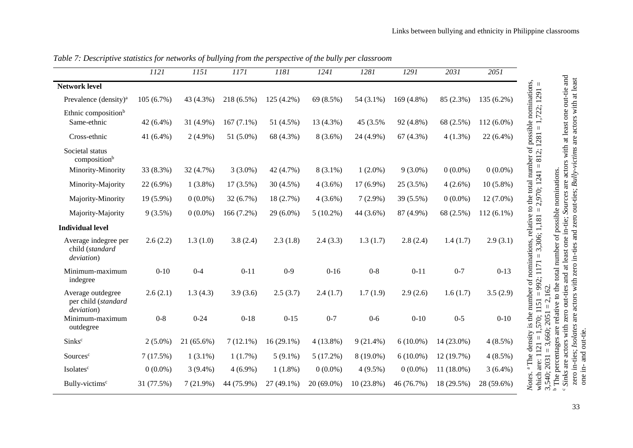|                                                        | 1121       | 1151        | 1171         | 1181         | 1241        | 1281        | 1291        | 2031       | 2051         |
|--------------------------------------------------------|------------|-------------|--------------|--------------|-------------|-------------|-------------|------------|--------------|
| <b>Network level</b>                                   |            |             |              |              |             |             |             |            |              |
| Prevalence (density) <sup>a</sup>                      | 105(6.7%)  | 43 (4.3%)   | 218 (6.5%)   | $125(4.2\%)$ | 69 (8.5%)   | 54 (3.1%)   | 169 (4.8%)  | 85 (2.3%)  | 135 (6.2%)   |
| Ethnic composition <sup>b</sup><br>Same-ethnic         | 42 (6.4%)  | 31 (4.9%)   | $167(7.1\%)$ | 51 (4.5%)    | 13 (4.3%)   | 45 (3.5%    | 92 (4.8%)   | 68 (2.5%)  | $112(6.0\%)$ |
| Cross-ethnic                                           | 41 (6.4%)  | $2(4.9\%)$  | 51 (5.0%)    | 68 (4.3%)    | $8(3.6\%)$  | 24 (4.9%)   | 67(4.3%)    | $4(1.3\%)$ | 22 (6.4%)    |
| Societal status<br>composition <sup>b</sup>            |            |             |              |              |             |             |             |            |              |
| Minority-Minority                                      | 33 (8.3%)  | 32 (4.7%)   | $3(3.0\%)$   | 42 (4.7%)    | $8(3.1\%)$  | $1(2.0\%)$  | $9(3.0\%)$  | $0(0.0\%)$ | $0(0.0\%)$   |
| Minority-Majority                                      | 22 (6.9%)  | $1(3.8\%)$  | 17 (3.5%)    | 30 (4.5%)    | $4(3.6\%)$  | 17 (6.9%)   | 25 (3.5%)   | $4(2.6\%)$ | $10(5.8\%)$  |
| Majority-Minority                                      | 19 (5.9%)  | $0(0.0\%)$  | 32 (6.7%)    | 18 (2.7%)    | $4(3.6\%)$  | $7(2.9\%)$  | 39 (5.5%)   | $0(0.0\%)$ | $12(7.0\%)$  |
| Majority-Majority                                      | 9(3.5%)    | $0(0.0\%)$  | 166 (7.2%)   | 29 (6.0%)    | $5(10.2\%)$ | 44 (3.6%)   | 87 (4.9%)   | 68 (2.5%)  | $112(6.1\%)$ |
| <b>Individual level</b>                                |            |             |              |              |             |             |             |            |              |
| Average indegree per<br>child (standard<br>deviation)  | 2.6(2.2)   | 1.3(1.0)    | 3.8(2.4)     | 2.3(1.8)     | 2.4(3.3)    | 1.3(1.7)    | 2.8(2.4)    | 1.4(1.7)   | 2.9(3.1)     |
| Minimum-maximum<br>indegree                            | $0 - 10$   | $0 - 4$     | $0 - 11$     | $0 - 9$      | $0 - 16$    | $0 - 8$     | $0 - 11$    | $0 - 7$    | $0 - 13$     |
| Average outdegree<br>per child (standard<br>deviation) | 2.6(2.1)   | 1.3(4.3)    | 3.9(3.6)     | 2.5(3.7)     | 2.4(1.7)    | 1.7(1.9)    | 2.9(2.6)    | 1.6(1.7)   | 3.5(2.9)     |
| Minimum-maximum<br>outdegree                           | $0 - 8$    | $0 - 24$    | $0 - 18$     | $0 - 15$     | $0 - 7$     | $0 - 6$     | $0 - 10$    | $0 - 5$    | $0 - 10$     |
| Sinks <sup>c</sup>                                     | $2(5.0\%)$ | 21 (65.6%)  | $7(12.1\%)$  | $16(29.1\%)$ | 4(13.8%)    | $9(21.4\%)$ | $6(10.0\%)$ | 14 (23.0%) | $4(8.5\%)$   |
| Sources <sup>c</sup>                                   | 7(17.5%)   | $1(3.1\%)$  | 1(1.7%)      | $5(9.1\%)$   | 5(17.2%)    | 8 (19.0%)   | $6(10.0\%)$ | 12 (19.7%) | $4(8.5\%)$   |
| Isolates <sup>c</sup>                                  | $0(0.0\%)$ | $3(9.4\%)$  | $4(6.9\%)$   | $1(1.8\%)$   | $0(0.0\%)$  | $4(9.5\%)$  | $0(0.0\%)$  | 11 (18.0%) | $3(6.4\%)$   |
| Bully-victims <sup>c</sup>                             | 31 (77.5%) | $7(21.9\%)$ | 44 (75.9%)   | 27 (49.1%)   | 20 (69.0%)  | 10 (23.8%)  | 46 (76.7%)  | 18 (29.5%) | 28 (59.6%)   |

*Table 7: Descriptive statistics for networks of bullying from the perspective of the bully per classroom*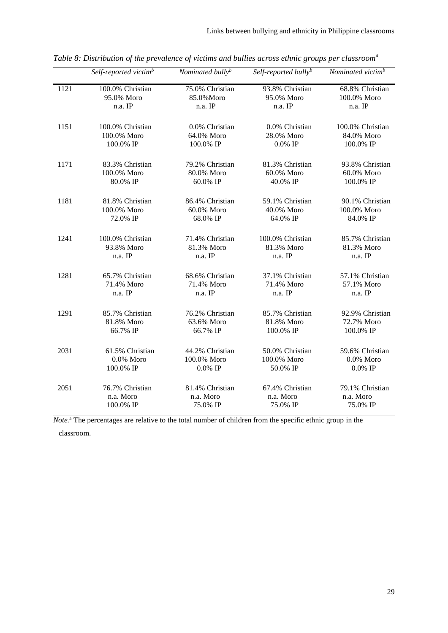|      | Self-reported victim <sup>b</sup> | Nominated bully <sup>b</sup> | Self-reported bullyb | Nominated victim <sup>b</sup> |
|------|-----------------------------------|------------------------------|----------------------|-------------------------------|
| 1121 | 100.0% Christian                  | 75.0% Christian              | 93.8% Christian      | 68.8% Christian               |
|      | 95.0% Moro                        | 85.0%Moro                    | 95.0% Moro           | 100.0% Moro                   |
|      | n.a. IP                           | n.a. IP                      | n.a. IP              | n.a. IP                       |
| 1151 | 100.0% Christian                  | 0.0% Christian               | 0.0% Christian       | 100.0% Christian              |
|      | 100.0% Moro                       | 64.0% Moro                   | 28.0% Moro           | 84.0% Moro                    |
|      | 100.0% IP                         | 100.0% IP                    | $0.0\%$ IP           | 100.0% IP                     |
| 1171 | 83.3% Christian                   | 79.2% Christian              | 81.3% Christian      | 93.8% Christian               |
|      | 100.0% Moro                       | 80.0% Moro                   | 60.0% Moro           | 60.0% Moro                    |
|      | 80.0% IP                          | 60.0% IP                     | 40.0% IP             | 100.0% IP                     |
| 1181 | 81.8% Christian                   | 86.4% Christian              | 59.1% Christian      | 90.1% Christian               |
|      | 100.0% Moro                       | 60.0% Moro                   | 40.0% Moro           | 100.0% Moro                   |
|      | 72.0% IP                          | 68.0% IP                     | 64.0% IP             | 84.0% IP                      |
| 1241 | 100.0% Christian                  | 71.4% Christian              | 100.0% Christian     | 85.7% Christian               |
|      | 93.8% Moro                        | 81.3% Moro                   | 81.3% Moro           | 81.3% Moro                    |
|      | n.a. IP                           | n.a. IP                      | n.a. IP              | n.a. IP                       |
| 1281 | 65.7% Christian                   | 68.6% Christian              | 37.1% Christian      | 57.1% Christian               |
|      | 71.4% Moro                        | 71.4% Moro                   | 71.4% Moro           | 57.1% Moro                    |
|      | n.a. IP                           | n.a. IP                      | n.a. IP              | n.a. IP                       |
| 1291 | 85.7% Christian                   | 76.2% Christian              | 85.7% Christian      | 92.9% Christian               |
|      | 81.8% Moro                        | 63.6% Moro                   | 81.8% Moro           | 72.7% Moro                    |
|      | 66.7% IP                          | 66.7% IP                     | 100.0% IP            | 100.0% IP                     |
| 2031 | 61.5% Christian                   | 44.2% Christian              | 50.0% Christian      | 59.6% Christian               |
|      | 0.0% Moro                         | 100.0% Moro                  | 100.0% Moro          | 0.0% Moro                     |
|      | 100.0% IP                         | $0.0\%$ IP                   | 50.0% IP             | $0.0\%$ IP                    |
| 2051 | 76.7% Christian                   | 81.4% Christian              | 67.4% Christian      | 79.1% Christian               |
|      | n.a. Moro                         | n.a. Moro                    | n.a. Moro            | n.a. Moro                     |
|      | 100.0% IP                         | 75.0% IP                     | 75.0% IP             | 75.0% IP                      |

*Table 8: Distribution of the prevalence of victims and bullies across ethnic groups per classroom<sup>a</sup>*

*Note.* <sup>a</sup> The percentages are relative to the total number of children from the specific ethnic group in the

classroom.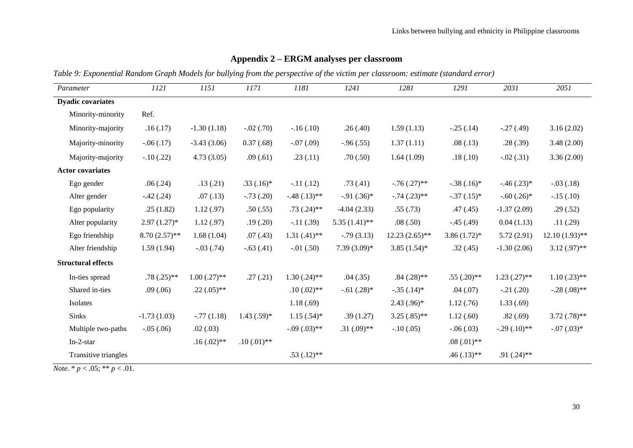| Parameter                 | 1121             | 1151           | 1171           | 1181           | 1241            | 1281             | 1291             | 2031           | 2051             |
|---------------------------|------------------|----------------|----------------|----------------|-----------------|------------------|------------------|----------------|------------------|
| <b>Dyadic covariates</b>  |                  |                |                |                |                 |                  |                  |                |                  |
|                           |                  |                |                |                |                 |                  |                  |                |                  |
| Minority-minority         | Ref.             |                |                |                |                 |                  |                  |                |                  |
| Minority-majority         | .16(.17)         | $-1.30(1.18)$  | $-.02(.70)$    | $-.16(.10)$    | .26(.40)        | 1.59(1.13)       | $-.25(.14)$      | $-.27(.49)$    | 3.16(2.02)       |
| Majority-minority         | $-.06(.17)$      | $-3.43(3.06)$  | 0.37(0.68)     | $-.07(.09)$    | $-.96(.55)$     | 1.37(1.11)       | .08(.13)         | .28(.39)       | 3.48(2.00)       |
| Majority-majority         | $-.10(.22)$      | 4.73(3.05)     | .09(.61)       | .23(.11)       | .70(.50)        | 1.64(1.09)       | .18(.10)         | $-.02(.31)$    | 3.36(2.00)       |
| <b>Actor covariates</b>   |                  |                |                |                |                 |                  |                  |                |                  |
| Ego gender                | .06(.24)         | .13(.21)       | $.33(.16)*$    | $-.11(.12)$    | .73(.41)        | $-.76(.27)$ **   | $-.38(.16)*$     | $-.46(.23)*$   | $-.03(.18)$      |
| Alter gender              | $-.42(.24)$      | .07(0.13)      | $-.73(.20)$    | $-.48(.13)**$  | $-.91(.36)*$    | $-.74(.23)$ **   | $-.37(.15)*$     | $-.60(.26)$ *  | $-.15(.10)$      |
| Ego popularity            | .25(1.82)        | 1.12(.97)      | .50(.55)       | $.73(.24)$ **  | $-4.04(2.33)$   | .55(.73)         | .47(.45)         | $-1.37(2.09)$  | .29(.52)         |
| Alter popularity          | $2.97(1.27)^{*}$ | 1.12(0.97)     | .19(.20)       | $-.11(.39)$    | $5.35(1.41)$ ** | .08(.50)         | $-.45(.49)$      | 0.04(1.13)     | .11(.29)         |
| Ego friendship            | $8.70(2.57)$ **  | 1.68(1.04)     | .07(0.43)      | $1.31(.41)$ ** | $-.79(3.13)$    | $12.23(2.65)$ ** | $3.86(1.72)^{*}$ | 5.72(2.91)     | $12.10(1.93)$ ** |
| Alter friendship          | 1.59(1.94)       | $-.03(.74)$    | $-.63(.41)$    | $-.01(.50)$    | $7.39(3.09)*$   | $3.85(1.54)$ *   | .32(.45)         | $-1.30(2.06)$  | $3.12(0.97)$ **  |
| <b>Structural effects</b> |                  |                |                |                |                 |                  |                  |                |                  |
| In-ties spread            | $.78(.25)$ **    | $1.00(.27)$ ** | .27(.21)       | $1.30(.24)$ ** | .04(0.35)       | $.84(.28)$ **    | $.55(.20)$ **    | $1.23(.27)$ ** | $1.10(.23)$ **   |
| Shared in-ties            | .09(.06)         | $.22(.05)$ **  |                | $.10(.02)$ **  | $-.61(.28)$ *   | $-.35(.14)*$     | .04(.07)         | $-.21(.20)$    | $-.28(.08)$ **   |
| Isolates                  |                  |                |                | 1.18(.69)      |                 | $2.43(.96)*$     | 1.12(.76)        | 1.33(0.69)     |                  |
| Sinks                     | $-1.73(1.03)$    | $-.77(1.18)$   | $1.43(.59)$ *  | $1.15(.54)$ *  | .39(1.27)       | $3.25(.85)$ **   | 1.12(0.60)       | .82(.69)       | $3.72(.78)$ **   |
| Multiple two-paths        | $-.05(.06)$      | .02(.03)       |                | $-.09(.03)$ ** | $.31(.09)$ **   | $-.10(.05)$      | $-.06(.03)$      | $-.29(.10)**$  | $-.07(.03)*$     |
| $In-2-star$               |                  | $.16(.02)$ **  | $.10(0.01)$ ** |                |                 |                  | $.08(.01)$ **    |                |                  |
| Transitive triangles      |                  |                |                | $.53(.12)$ **  |                 |                  | $.46(.13)$ **    | $.91(.24)$ **  |                  |

# **Appendix 2 – ERGM analyses per classroom**

*Table 9: Exponential Random Graph Models for bullying from the perspective of the victim per classroom: estimate (standard error)*

*Note*. \* *p* < .05; \*\* *p* < .01.